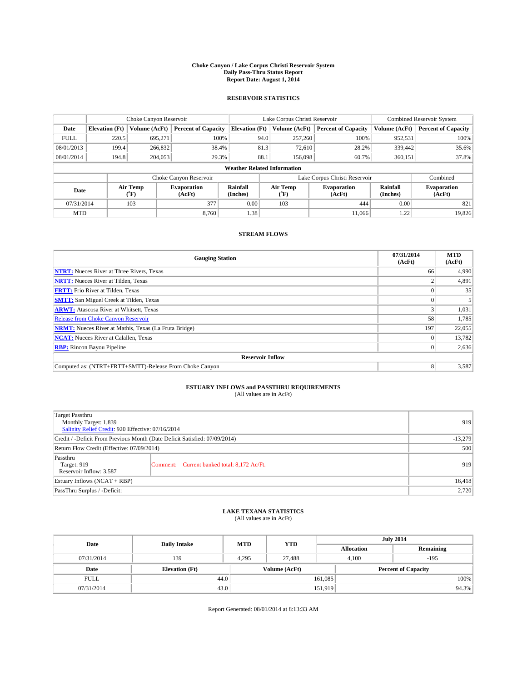#### **Choke Canyon / Lake Corpus Christi Reservoir System Daily Pass-Thru Status Report Report Date: August 1, 2014**

### **RESERVOIR STATISTICS**

|             | Choke Canyon Reservoir |               |                              |                                    | Lake Corpus Christi Reservoir | <b>Combined Reservoir System</b> |                      |                              |
|-------------|------------------------|---------------|------------------------------|------------------------------------|-------------------------------|----------------------------------|----------------------|------------------------------|
| Date        | <b>Elevation</b> (Ft)  | Volume (AcFt) | <b>Percent of Capacity</b>   | <b>Elevation (Ft)</b>              | Volume (AcFt)                 | <b>Percent of Capacity</b>       | Volume (AcFt)        | <b>Percent of Capacity</b>   |
| <b>FULL</b> | 220.5                  | 695,271       | 100%                         | 94.0                               | 257,260                       | 100%                             | 952,531              | 100%                         |
| 08/01/2013  | 199.4                  | 266,832       | 38.4%                        | 81.3                               | 72,610                        | 28.2%                            | 339,442              | 35.6%                        |
| 08/01/2014  | 194.8                  | 204,053       | 29.3%                        | 88.1                               | 156,098                       | 60.7%                            | 360,151              | 37.8%                        |
|             |                        |               |                              | <b>Weather Related Information</b> |                               |                                  |                      |                              |
|             |                        |               | Choke Canyon Reservoir       |                                    | Lake Corpus Christi Reservoir |                                  | Combined             |                              |
| Date        | Air Temp<br>(°F)       |               | <b>Evaporation</b><br>(AcFt) | Rainfall<br>(Inches)               | Air Temp<br>("F)              | <b>Evaporation</b><br>(AcFt)     | Rainfall<br>(Inches) | <b>Evaporation</b><br>(AcFt) |
| 07/31/2014  |                        | 103           | 377                          | 0.00                               | 103                           | 444                              | 0.00                 | 821                          |
| <b>MTD</b>  |                        |               | 8.760                        | 1.38                               |                               | 11.066                           | 1.22                 | 19,826                       |

### **STREAM FLOWS**

| <b>Gauging Station</b>                                       | 07/31/2014<br>(AcFt) | <b>MTD</b><br>(AcFt) |  |  |  |  |
|--------------------------------------------------------------|----------------------|----------------------|--|--|--|--|
| <b>NTRT:</b> Nueces River at Three Rivers, Texas             | 66                   | 4,990                |  |  |  |  |
| <b>NRTT:</b> Nueces River at Tilden, Texas                   |                      | 4,891                |  |  |  |  |
| <b>FRTT:</b> Frio River at Tilden, Texas                     |                      | 35                   |  |  |  |  |
| <b>SMTT:</b> San Miguel Creek at Tilden, Texas               |                      |                      |  |  |  |  |
| <b>ARWT:</b> Atascosa River at Whitsett, Texas               |                      | 1,031                |  |  |  |  |
| <b>Release from Choke Canyon Reservoir</b>                   | 58                   | 1,785                |  |  |  |  |
| <b>NRMT:</b> Nueces River at Mathis, Texas (La Fruta Bridge) | 197                  | 22,055               |  |  |  |  |
| <b>NCAT:</b> Nueces River at Calallen, Texas                 |                      | 13,782               |  |  |  |  |
| <b>RBP:</b> Rincon Bayou Pipeline                            | 0                    | 2,636                |  |  |  |  |
| <b>Reservoir Inflow</b>                                      |                      |                      |  |  |  |  |
| Computed as: (NTRT+FRTT+SMTT)-Release From Choke Canyon      | 8                    | 3,587                |  |  |  |  |

# **ESTUARY INFLOWS and PASSTHRU REQUIREMENTS**<br>(All values are in AcFt)

| Target Passthru<br>Monthly Target: 1,839<br>Salinity Relief Credit: 920 Effective: 07/16/2014 |                                             | 919 |
|-----------------------------------------------------------------------------------------------|---------------------------------------------|-----|
| Credit / -Deficit From Previous Month (Date Deficit Satisfied: 07/09/2014)                    | $-13,279$                                   |     |
| Return Flow Credit (Effective: 07/09/2014)                                                    | 500                                         |     |
| Passthru<br>Target: 919<br>Reservoir Inflow: 3,587                                            | Comment: Current banked total: 8,172 Ac/Ft. | 919 |
| Estuary Inflows (NCAT + RBP)                                                                  | 16,418                                      |     |
| PassThru Surplus / -Deficit:                                                                  | 2,720                                       |     |

# **LAKE TEXANA STATISTICS** (All values are in AcFt)

| Date        | <b>Daily Intake</b>   | <b>MTD</b>    | <b>YTD</b> | <b>July 2014</b>  |                            |           |  |
|-------------|-----------------------|---------------|------------|-------------------|----------------------------|-----------|--|
|             |                       |               |            | <b>Allocation</b> |                            | Remaining |  |
| 07/31/2014  | 139                   | 4,295         | 27,488     | 4,100             |                            | $-195$    |  |
| Date        | <b>Elevation</b> (Ft) | Volume (AcFt) |            |                   | <b>Percent of Capacity</b> |           |  |
| <b>FULL</b> | 44.0                  |               |            | 161,085           |                            | 100%      |  |
| 07/31/2014  | 43.0                  |               |            | 151,919           |                            | 94.3%     |  |

Report Generated: 08/01/2014 at 8:13:33 AM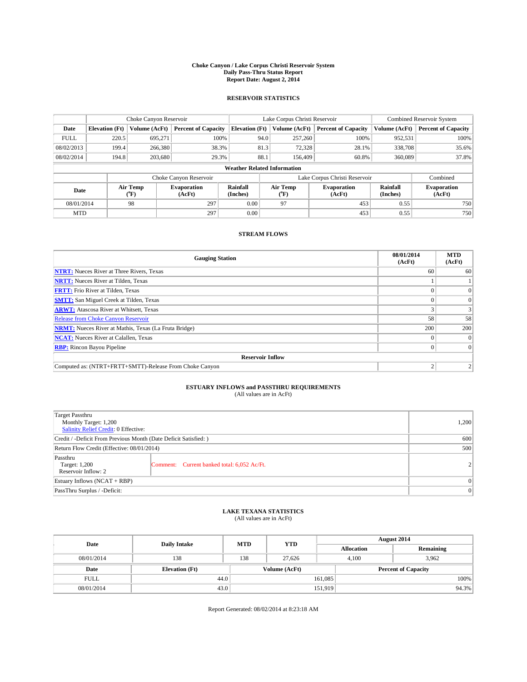#### **Choke Canyon / Lake Corpus Christi Reservoir System Daily Pass-Thru Status Report Report Date: August 2, 2014**

### **RESERVOIR STATISTICS**

|             | Choke Canyon Reservoir             |                  |                              |                       | Lake Corpus Christi Reservoir | <b>Combined Reservoir System</b> |               |                              |  |
|-------------|------------------------------------|------------------|------------------------------|-----------------------|-------------------------------|----------------------------------|---------------|------------------------------|--|
| Date        | <b>Elevation</b> (Ft)              | Volume (AcFt)    | <b>Percent of Capacity</b>   | <b>Elevation (Ft)</b> | Volume (AcFt)                 | <b>Percent of Capacity</b>       | Volume (AcFt) | Percent of Capacity          |  |
| <b>FULL</b> | 220.5                              | 695,271          | 100%                         | 94.0                  | 257,260                       | 100%                             | 952,531       | 100%                         |  |
| 08/02/2013  | 199.4                              | 266,380          | 38.3%                        | 81.3                  | 72,328                        | 28.1%                            | 338,708       | $35.6\%$                     |  |
| 08/02/2014  | 194.8                              | 203.680          | 29.3%                        | 88.1                  | 156,409                       | 60.8%                            | 360,089       | 37.8%                        |  |
|             | <b>Weather Related Information</b> |                  |                              |                       |                               |                                  |               |                              |  |
|             |                                    |                  | Choke Canyon Reservoir       |                       | Lake Corpus Christi Reservoir |                                  | Combined      |                              |  |
| Date        |                                    | Air Temp<br>(°F) | <b>Evaporation</b><br>(AcFt) | Rainfall<br>(Inches)  | Air Temp<br>("F)              | <b>Evaporation</b><br>(AcFt)     |               | <b>Evaporation</b><br>(AcFt) |  |
| 08/01/2014  |                                    | 98               | 297                          | 0.00                  | 97                            | 453                              | 0.55          | 750                          |  |
| <b>MTD</b>  |                                    |                  | 297                          | 0.00                  |                               | 453                              | 0.55          | 750                          |  |

### **STREAM FLOWS**

| <b>Gauging Station</b>                                       | 08/01/2014<br>(AcFt) | <b>MTD</b><br>(AcFt) |  |  |  |  |
|--------------------------------------------------------------|----------------------|----------------------|--|--|--|--|
| <b>NTRT:</b> Nueces River at Three Rivers, Texas             | 60                   | 60                   |  |  |  |  |
| <b>NRTT:</b> Nueces River at Tilden, Texas                   |                      |                      |  |  |  |  |
| <b>FRTT:</b> Frio River at Tilden, Texas                     |                      | $\overline{0}$       |  |  |  |  |
| <b>SMTT:</b> San Miguel Creek at Tilden, Texas               |                      | $\Omega$             |  |  |  |  |
| <b>ARWT:</b> Atascosa River at Whitsett, Texas               |                      |                      |  |  |  |  |
| <b>Release from Choke Canyon Reservoir</b>                   | 58                   | 58                   |  |  |  |  |
| <b>NRMT:</b> Nueces River at Mathis, Texas (La Fruta Bridge) | 200                  | 200                  |  |  |  |  |
| <b>NCAT:</b> Nueces River at Calallen, Texas                 |                      | $\Omega$             |  |  |  |  |
| <b>RBP:</b> Rincon Bayou Pipeline                            |                      | $\Omega$             |  |  |  |  |
| <b>Reservoir Inflow</b>                                      |                      |                      |  |  |  |  |
| Computed as: (NTRT+FRTT+SMTT)-Release From Choke Canyon      | h                    |                      |  |  |  |  |

# **ESTUARY INFLOWS and PASSTHRU REQUIREMENTS**<br>(All values are in AcFt)

| <b>Target Passthru</b><br>Monthly Target: 1,200<br><b>Salinity Relief Credit: 0 Effective:</b> |                                             | 1,200          |  |  |
|------------------------------------------------------------------------------------------------|---------------------------------------------|----------------|--|--|
| Credit / -Deficit From Previous Month (Date Deficit Satisfied: )                               |                                             |                |  |  |
| Return Flow Credit (Effective: 08/01/2014)                                                     | 500                                         |                |  |  |
| Passthru<br>Target: 1,200<br>Reservoir Inflow: 2                                               | Comment: Current banked total: 6,052 Ac/Ft. | 2 <sup>1</sup> |  |  |
| Estuary Inflows (NCAT + RBP)                                                                   | $\Omega$                                    |                |  |  |
| PassThru Surplus / -Deficit:                                                                   | $\Omega$                                    |                |  |  |

## **LAKE TEXANA STATISTICS** (All values are in AcFt)

| Date        | <b>Daily Intake</b>   | <b>MTD</b> | <b>YTD</b>    | August 2014                |                |           |       |
|-------------|-----------------------|------------|---------------|----------------------------|----------------|-----------|-------|
|             |                       |            |               | <b>Allocation</b>          |                | Remaining |       |
| 08/01/2014  | 138                   | 138        | 27.626        |                            | 3.962<br>4.100 |           |       |
| Date        | <b>Elevation</b> (Ft) |            | Volume (AcFt) | <b>Percent of Capacity</b> |                |           |       |
| <b>FULL</b> | 44.0                  |            |               | 161,085                    |                |           | 100%  |
| 08/01/2014  | 43.0                  |            |               | 151,919                    |                |           | 94.3% |

Report Generated: 08/02/2014 at 8:23:18 AM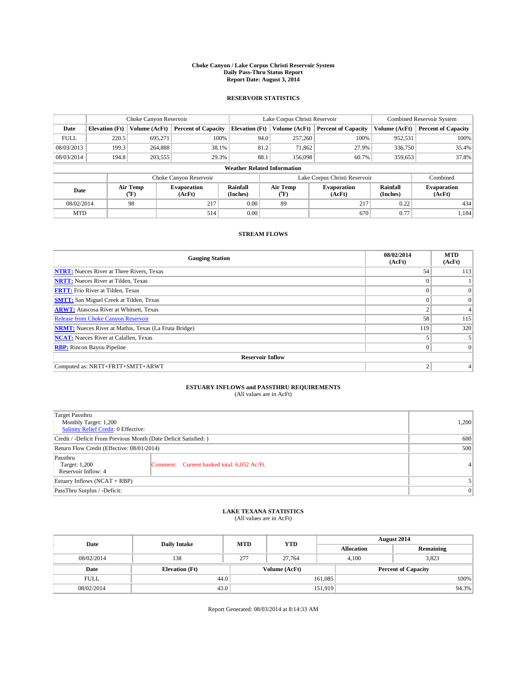#### **Choke Canyon / Lake Corpus Christi Reservoir System Daily Pass-Thru Status Report Report Date: August 3, 2014**

### **RESERVOIR STATISTICS**

|             | Choke Canyon Reservoir |                  |                              |                                    | Lake Corpus Christi Reservoir | <b>Combined Reservoir System</b> |                      |                              |
|-------------|------------------------|------------------|------------------------------|------------------------------------|-------------------------------|----------------------------------|----------------------|------------------------------|
| Date        | <b>Elevation</b> (Ft)  | Volume (AcFt)    | <b>Percent of Capacity</b>   | <b>Elevation (Ft)</b>              | Volume (AcFt)                 | <b>Percent of Capacity</b>       | Volume (AcFt)        | Percent of Capacity          |
| <b>FULL</b> | 220.5                  | 695,271          | 100%                         | 94.0                               | 257,260                       | 100%                             | 952,531              | 100%                         |
| 08/03/2013  | 199.3                  | 264,888          | 38.1%                        | 81.2                               | 71,862                        | 27.9%                            | 336,750              | $35.4\%$                     |
| 08/03/2014  | 194.8                  | 203,555          | 29.3%                        | 88.1                               | 156,098                       | 60.7%                            | 359,653              | 37.8%                        |
|             |                        |                  |                              | <b>Weather Related Information</b> |                               |                                  |                      |                              |
|             |                        |                  | Choke Canyon Reservoir       |                                    | Lake Corpus Christi Reservoir |                                  |                      | Combined                     |
| Date        |                        | Air Temp<br>(°F) | <b>Evaporation</b><br>(AcFt) | Rainfall<br>(Inches)               | Air Temp<br>("F)              | <b>Evaporation</b><br>(AcFt)     | Rainfall<br>(Inches) | <b>Evaporation</b><br>(AcFt) |
| 08/02/2014  |                        | 98               | 217                          | 0.00                               | 89                            | 217                              | 0.22                 | 434                          |
| <b>MTD</b>  |                        |                  | 514                          | 0.00                               |                               | 670                              | 0.77                 | 1.184                        |

### **STREAM FLOWS**

| <b>Gauging Station</b>                                       | 08/02/2014<br>(AcFt) | <b>MTD</b><br>(AcFt) |  |  |  |  |
|--------------------------------------------------------------|----------------------|----------------------|--|--|--|--|
| <b>NTRT:</b> Nueces River at Three Rivers, Texas             | 54                   | 113                  |  |  |  |  |
| <b>NRTT:</b> Nueces River at Tilden, Texas                   |                      |                      |  |  |  |  |
| <b>FRTT:</b> Frio River at Tilden, Texas                     |                      | $\overline{0}$       |  |  |  |  |
| <b>SMTT:</b> San Miguel Creek at Tilden, Texas               |                      | $\overline{0}$       |  |  |  |  |
| <b>ARWT:</b> Atascosa River at Whitsett, Texas               | 2                    | 4                    |  |  |  |  |
| <b>Release from Choke Canyon Reservoir</b>                   | 58                   | 115                  |  |  |  |  |
| <b>NRMT:</b> Nueces River at Mathis, Texas (La Fruta Bridge) | 119                  | 320                  |  |  |  |  |
| <b>NCAT:</b> Nueces River at Calallen, Texas                 |                      |                      |  |  |  |  |
| <b>RBP:</b> Rincon Bayou Pipeline                            | $\theta$             | $\Omega$             |  |  |  |  |
| <b>Reservoir Inflow</b>                                      |                      |                      |  |  |  |  |
| Computed as: NRTT+FRTT+SMTT+ARWT                             | $\overline{2}$       |                      |  |  |  |  |

# **ESTUARY INFLOWS and PASSTHRU REQUIREMENTS**<br>(All values are in AcFt)

| Target Passthru<br>Monthly Target: 1,200<br>Salinity Relief Credit: 0 Effective: |                                             | 1,200 |
|----------------------------------------------------------------------------------|---------------------------------------------|-------|
| Credit / -Deficit From Previous Month (Date Deficit Satisfied: )                 | 600                                         |       |
| Return Flow Credit (Effective: 08/01/2014)                                       | 500                                         |       |
| Passthru<br>Target: 1,200<br>Reservoir Inflow: 4                                 | Comment: Current banked total: 6,052 Ac/Ft. |       |
| Estuary Inflows (NCAT + RBP)                                                     |                                             |       |
| PassThru Surplus / -Deficit:                                                     | $\Omega$                                    |       |

## **LAKE TEXANA STATISTICS** (All values are in AcFt)

| Date        | <b>Daily Intake</b>   | <b>MTD</b>    | <b>YTD</b> | August 2014       |                            |           |  |
|-------------|-----------------------|---------------|------------|-------------------|----------------------------|-----------|--|
|             |                       |               |            | <b>Allocation</b> |                            | Remaining |  |
| 08/02/2014  | 138                   | 277           | 27.764     | 4,100             |                            | 3,823     |  |
| Date        | <b>Elevation</b> (Ft) | Volume (AcFt) |            |                   | <b>Percent of Capacity</b> |           |  |
| <b>FULL</b> | 44.0                  |               |            | 161,085           |                            | 100%      |  |
| 08/02/2014  | 43.0                  |               |            | 151,919           |                            | 94.3%     |  |

Report Generated: 08/03/2014 at 8:14:33 AM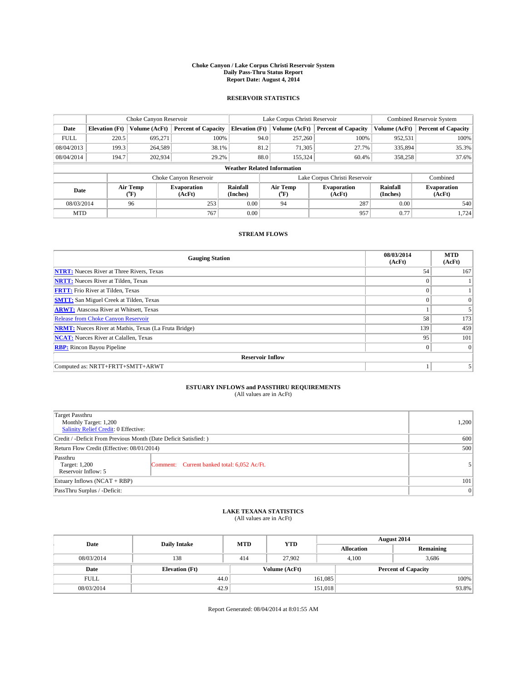#### **Choke Canyon / Lake Corpus Christi Reservoir System Daily Pass-Thru Status Report Report Date: August 4, 2014**

### **RESERVOIR STATISTICS**

|             |                                    | Choke Canyon Reservoir |                              |                       | Lake Corpus Christi Reservoir | Combined Reservoir System     |                      |                              |  |
|-------------|------------------------------------|------------------------|------------------------------|-----------------------|-------------------------------|-------------------------------|----------------------|------------------------------|--|
| Date        | <b>Elevation</b> (Ft)              | Volume (AcFt)          | <b>Percent of Capacity</b>   | <b>Elevation (Ft)</b> | Volume (AcFt)                 | <b>Percent of Capacity</b>    | Volume (AcFt)        | Percent of Capacity          |  |
| <b>FULL</b> | 220.5                              | 695,271                | 100%                         | 94.0                  | 257,260                       | 100%                          | 952,531              | 100%                         |  |
| 08/04/2013  | 199.3                              | 264,589                | 38.1%                        | 81.2                  | 71,305                        | 27.7%                         | 335,894              | 35.3%                        |  |
| 08/04/2014  | 194.7                              | 202,934                | 29.2%                        | 88.0                  | 155.324                       | 60.4%                         | 358,258              | 37.6%                        |  |
|             | <b>Weather Related Information</b> |                        |                              |                       |                               |                               |                      |                              |  |
|             |                                    |                        | Choke Canyon Reservoir       |                       |                               | Lake Corpus Christi Reservoir |                      | Combined                     |  |
| Date        |                                    | Air Temp<br>(°F)       | <b>Evaporation</b><br>(AcFt) | Rainfall<br>(Inches)  | Air Temp<br>("F)              | <b>Evaporation</b><br>(AcFt)  | Rainfall<br>(Inches) | <b>Evaporation</b><br>(AcFt) |  |
| 08/03/2014  |                                    | 96                     | 253                          | 0.00                  | 94                            | 287                           | 0.00                 | 540                          |  |
| <b>MTD</b>  |                                    |                        | 767                          | 0.00                  |                               | 957                           | 0.77                 | 1,724                        |  |

### **STREAM FLOWS**

| <b>Gauging Station</b>                                       | 08/03/2014<br>(AcFt) | <b>MTD</b><br>(AcFt) |  |  |  |  |
|--------------------------------------------------------------|----------------------|----------------------|--|--|--|--|
| <b>NTRT:</b> Nueces River at Three Rivers, Texas             | 54                   | 167                  |  |  |  |  |
| <b>NRTT:</b> Nueces River at Tilden, Texas                   | $\theta$             |                      |  |  |  |  |
| <b>FRTT:</b> Frio River at Tilden, Texas                     |                      |                      |  |  |  |  |
| <b>SMTT:</b> San Miguel Creek at Tilden, Texas               | $\theta$             | $\Omega$             |  |  |  |  |
| <b>ARWT:</b> Atascosa River at Whitsett, Texas               |                      |                      |  |  |  |  |
| <b>Release from Choke Canyon Reservoir</b>                   | 58                   | 173                  |  |  |  |  |
| <b>NRMT:</b> Nueces River at Mathis, Texas (La Fruta Bridge) | 139                  | 459                  |  |  |  |  |
| <b>NCAT:</b> Nueces River at Calallen, Texas                 | 95                   | 101                  |  |  |  |  |
| <b>RBP:</b> Rincon Bayou Pipeline                            | $\Omega$             | $\Omega$             |  |  |  |  |
| <b>Reservoir Inflow</b>                                      |                      |                      |  |  |  |  |
| Computed as: NRTT+FRTT+SMTT+ARWT                             |                      |                      |  |  |  |  |

# **ESTUARY INFLOWS and PASSTHRU REQUIREMENTS**<br>(All values are in AcFt)

| Target Passthru<br>Monthly Target: 1,200<br>Salinity Relief Credit: 0 Effective: |                                             | 1,200 |  |  |
|----------------------------------------------------------------------------------|---------------------------------------------|-------|--|--|
| Credit / -Deficit From Previous Month (Date Deficit Satisfied: )                 | 600                                         |       |  |  |
| Return Flow Credit (Effective: 08/01/2014)                                       |                                             |       |  |  |
| Passthru<br>Target: 1,200<br>Reservoir Inflow: 5                                 | Comment: Current banked total: 6,052 Ac/Ft. |       |  |  |
| Estuary Inflows (NCAT + RBP)                                                     |                                             |       |  |  |
| PassThru Surplus / -Deficit:                                                     | 0                                           |       |  |  |

## **LAKE TEXANA STATISTICS** (All values are in AcFt)

| Date        | <b>Daily Intake</b>   | <b>MTD</b> | <b>YTD</b>    | August 2014       |                            |           |  |
|-------------|-----------------------|------------|---------------|-------------------|----------------------------|-----------|--|
|             |                       |            |               | <b>Allocation</b> |                            | Remaining |  |
| 08/03/2014  | 138                   | 414        | 27,902        | 4,100             |                            | 3,686     |  |
| Date        | <b>Elevation</b> (Ft) |            | Volume (AcFt) |                   | <b>Percent of Capacity</b> |           |  |
| <b>FULL</b> | 44.0                  |            |               | 161,085           |                            | 100%      |  |
| 08/03/2014  | 42.9                  |            |               | 151,018           |                            | 93.8%     |  |

Report Generated: 08/04/2014 at 8:01:55 AM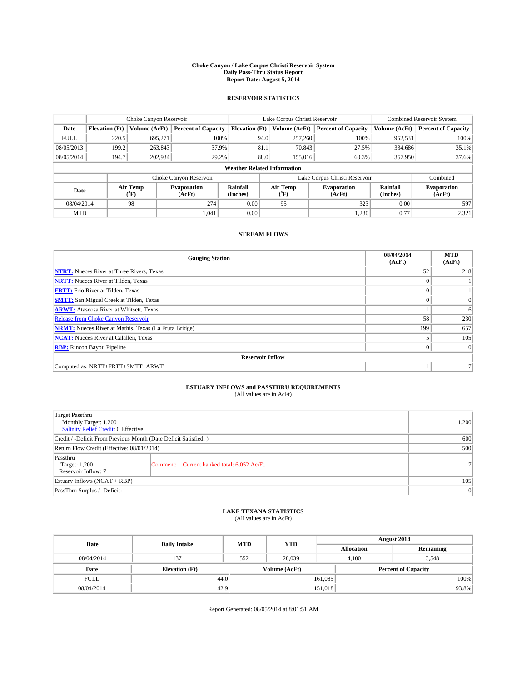#### **Choke Canyon / Lake Corpus Christi Reservoir System Daily Pass-Thru Status Report Report Date: August 5, 2014**

### **RESERVOIR STATISTICS**

|                                                          | Choke Canyon Reservoir             |                      | Lake Corpus Christi Reservoir |                       |                              |                      | <b>Combined Reservoir System</b> |               |                     |
|----------------------------------------------------------|------------------------------------|----------------------|-------------------------------|-----------------------|------------------------------|----------------------|----------------------------------|---------------|---------------------|
| Date                                                     | <b>Elevation</b> (Ft)              | Volume (AcFt)        | <b>Percent of Capacity</b>    | <b>Elevation (Ft)</b> |                              | Volume (AcFt)        | <b>Percent of Capacity</b>       | Volume (AcFt) | Percent of Capacity |
| <b>FULL</b>                                              | 220.5                              | 695,271              | 100%                          |                       | 94.0                         | 257,260              | 100%                             | 952,531       | 100%                |
| 08/05/2013                                               | 199.2                              | 263,843              | 37.9%                         |                       | 81.1                         | 70,843               | 27.5%                            | 334,686       | $35.1\%$            |
| 08/05/2014                                               | 194.7                              | 202,934              | 29.2%                         |                       | 88.0                         | 155,016              | 60.3%                            | 357,950       | 37.6%               |
|                                                          | <b>Weather Related Information</b> |                      |                               |                       |                              |                      |                                  |               |                     |
|                                                          |                                    |                      | Choke Canyon Reservoir        |                       |                              |                      | Lake Corpus Christi Reservoir    |               | Combined            |
| Air Temp<br><b>Evaporation</b><br>Date<br>(AcFt)<br>(°F) |                                    | Rainfall<br>(Inches) |                               | Air Temp<br>("F)      | <b>Evaporation</b><br>(AcFt) | Rainfall<br>(Inches) | <b>Evaporation</b><br>(AcFt)     |               |                     |
| 08/04/2014                                               |                                    | 98                   | 274                           | 0.00                  |                              | 95                   | 323                              | 0.00          | 597                 |
| <b>MTD</b>                                               |                                    |                      | 1.041                         | 0.00                  |                              |                      | 1.280                            | 0.77          | 2,321               |

### **STREAM FLOWS**

| <b>Gauging Station</b>                                       | 08/04/2014<br>(AcFt) | <b>MTD</b><br>(AcFt) |  |  |  |  |
|--------------------------------------------------------------|----------------------|----------------------|--|--|--|--|
| <b>NTRT:</b> Nueces River at Three Rivers, Texas             | 52                   | 218                  |  |  |  |  |
| <b>NRTT:</b> Nueces River at Tilden, Texas                   |                      |                      |  |  |  |  |
| <b>FRTT:</b> Frio River at Tilden, Texas                     |                      |                      |  |  |  |  |
| <b>SMTT:</b> San Miguel Creek at Tilden, Texas               | $\theta$             | $\Omega$             |  |  |  |  |
| <b>ARWT:</b> Atascosa River at Whitsett, Texas               |                      | 6                    |  |  |  |  |
| <b>Release from Choke Canyon Reservoir</b>                   | 58                   | 230                  |  |  |  |  |
| <b>NRMT:</b> Nueces River at Mathis, Texas (La Fruta Bridge) | 199                  | 657                  |  |  |  |  |
| <b>NCAT:</b> Nueces River at Calallen, Texas                 |                      | 105                  |  |  |  |  |
| <b>RBP:</b> Rincon Bayou Pipeline                            | $\theta$             | $\Omega$             |  |  |  |  |
| <b>Reservoir Inflow</b>                                      |                      |                      |  |  |  |  |
| Computed as: NRTT+FRTT+SMTT+ARWT                             |                      |                      |  |  |  |  |

# **ESTUARY INFLOWS and PASSTHRU REQUIREMENTS**<br>(All values are in AcFt)

| Target Passthru<br>Monthly Target: 1,200<br>Salinity Relief Credit: 0 Effective: |                                             | 1,200          |  |  |
|----------------------------------------------------------------------------------|---------------------------------------------|----------------|--|--|
| Credit / -Deficit From Previous Month (Date Deficit Satisfied: )                 |                                             |                |  |  |
| Return Flow Credit (Effective: 08/01/2014)                                       |                                             |                |  |  |
| Passthru<br>Target: 1,200<br>Reservoir Inflow: 7                                 | Comment: Current banked total: 6,052 Ac/Ft. | 7 <sup>1</sup> |  |  |
| Estuary Inflows (NCAT + RBP)                                                     |                                             |                |  |  |
| PassThru Surplus / -Deficit:                                                     | 0                                           |                |  |  |

## **LAKE TEXANA STATISTICS** (All values are in AcFt)

| Date        | <b>Daily Intake</b>   | <b>MTD</b>    | <b>YTD</b> | August 2014                |                   |           |  |
|-------------|-----------------------|---------------|------------|----------------------------|-------------------|-----------|--|
|             |                       |               |            |                            | <b>Allocation</b> | Remaining |  |
| 08/04/2014  | 137                   | 552           | 28,039     |                            | 3,548<br>4.100    |           |  |
| Date        | <b>Elevation</b> (Ft) | Volume (AcFt) |            | <b>Percent of Capacity</b> |                   |           |  |
| <b>FULL</b> | 44.0                  |               |            | 161,085                    |                   | 100%      |  |
| 08/04/2014  | 42.9                  |               |            | 151,018                    |                   | 93.8%     |  |

Report Generated: 08/05/2014 at 8:01:51 AM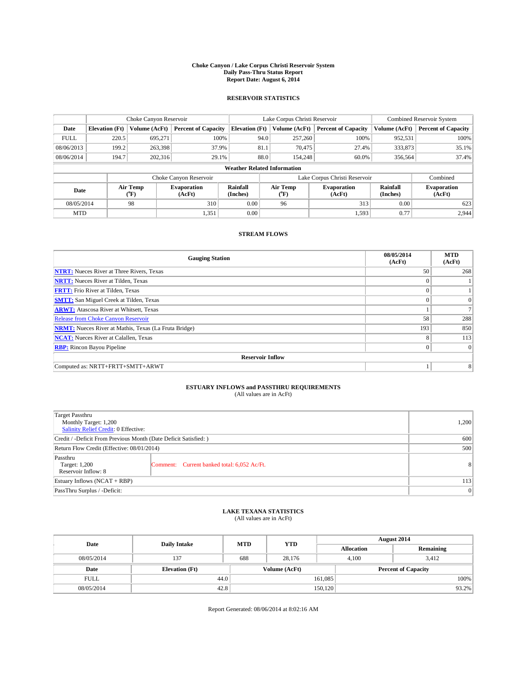#### **Choke Canyon / Lake Corpus Christi Reservoir System Daily Pass-Thru Status Report Report Date: August 6, 2014**

### **RESERVOIR STATISTICS**

|             |                                                                                                      | Choke Canyon Reservoir |                              |                       | Lake Corpus Christi Reservoir | Combined Reservoir System     |               |                            |  |
|-------------|------------------------------------------------------------------------------------------------------|------------------------|------------------------------|-----------------------|-------------------------------|-------------------------------|---------------|----------------------------|--|
| Date        | <b>Elevation</b> (Ft)                                                                                | Volume (AcFt)          | <b>Percent of Capacity</b>   | <b>Elevation (Ft)</b> | Volume (AcFt)                 | <b>Percent of Capacity</b>    | Volume (AcFt) | <b>Percent of Capacity</b> |  |
| <b>FULL</b> | 220.5                                                                                                | 695,271                | 100%                         | 94.0                  | 257,260                       | 100%                          | 952,531       | 100%                       |  |
| 08/06/2013  | 199.2                                                                                                | 263,398                | 37.9%                        | 81.1                  | 70,475                        | 27.4%                         | 333,873       | 35.1%                      |  |
| 08/06/2014  | 194.7                                                                                                | 202,316                | 29.1%                        | 88.0                  | 154,248                       | 60.0%                         | 356,564       | 37.4%                      |  |
|             | <b>Weather Related Information</b>                                                                   |                        |                              |                       |                               |                               |               |                            |  |
|             |                                                                                                      |                        | Choke Canyon Reservoir       |                       |                               | Lake Corpus Christi Reservoir |               | Combined                   |  |
|             | Air Temp<br>Rainfall<br>Air Temp<br><b>Evaporation</b><br>Date<br>(°F)<br>(AcFt)<br>(Inches)<br>(°F) |                        | <b>Evaporation</b><br>(AcFt) | Rainfall<br>(Inches)  | <b>Evaporation</b><br>(AcFt)  |                               |               |                            |  |
| 08/05/2014  |                                                                                                      | 98                     | 310                          | 0.00                  | 96                            | 313                           | 0.00          | 623                        |  |
| <b>MTD</b>  |                                                                                                      |                        | 1,351                        | 0.00                  |                               | 1,593                         | 0.77          | 2,944                      |  |

### **STREAM FLOWS**

| <b>Gauging Station</b>                                       | 08/05/2014<br>(AcFt) | <b>MTD</b><br>(AcFt) |  |  |  |  |
|--------------------------------------------------------------|----------------------|----------------------|--|--|--|--|
| <b>NTRT:</b> Nueces River at Three Rivers, Texas             | 50                   | 268                  |  |  |  |  |
| <b>NRTT:</b> Nueces River at Tilden, Texas                   |                      |                      |  |  |  |  |
| <b>FRTT:</b> Frio River at Tilden, Texas                     |                      |                      |  |  |  |  |
| <b>SMTT:</b> San Miguel Creek at Tilden, Texas               |                      | $\Omega$             |  |  |  |  |
| <b>ARWT:</b> Atascosa River at Whitsett, Texas               |                      |                      |  |  |  |  |
| <b>Release from Choke Canyon Reservoir</b>                   | 58                   | 288                  |  |  |  |  |
| <b>NRMT:</b> Nueces River at Mathis, Texas (La Fruta Bridge) | 193                  | 850                  |  |  |  |  |
| <b>NCAT:</b> Nueces River at Calallen, Texas                 | 8                    | 113                  |  |  |  |  |
| <b>RBP:</b> Rincon Bayou Pipeline                            | $\theta$             | $\Omega$             |  |  |  |  |
| <b>Reservoir Inflow</b>                                      |                      |                      |  |  |  |  |
| Computed as: NRTT+FRTT+SMTT+ARWT                             |                      | 8                    |  |  |  |  |

# **ESTUARY INFLOWS and PASSTHRU REQUIREMENTS**<br>(All values are in AcFt)

| Target Passthru<br>Monthly Target: 1,200<br>Salinity Relief Credit: 0 Effective: |                                             | 1,200          |  |  |
|----------------------------------------------------------------------------------|---------------------------------------------|----------------|--|--|
| Credit / -Deficit From Previous Month (Date Deficit Satisfied: )                 |                                             |                |  |  |
| Return Flow Credit (Effective: 08/01/2014)                                       |                                             |                |  |  |
| Passthru<br>Target: 1,200<br>Reservoir Inflow: 8                                 | Comment: Current banked total: 6,052 Ac/Ft. | 8 <sup>1</sup> |  |  |
| Estuary Inflows (NCAT + RBP)                                                     |                                             |                |  |  |
| PassThru Surplus / -Deficit:                                                     | 0                                           |                |  |  |

## **LAKE TEXANA STATISTICS** (All values are in AcFt)

| Date        | <b>Daily Intake</b>   | <b>MTD</b> | <b>YTD</b>    | August 2014       |                            |           |
|-------------|-----------------------|------------|---------------|-------------------|----------------------------|-----------|
|             |                       |            |               | <b>Allocation</b> |                            | Remaining |
| 08/05/2014  | 137                   | 688        | 28,176        | 4,100             | 3,412                      |           |
| Date        | <b>Elevation</b> (Ft) |            | Volume (AcFt) |                   | <b>Percent of Capacity</b> |           |
| <b>FULL</b> | 44.0                  |            |               | 161,085           |                            | 100%      |
| 08/05/2014  | 42.8                  |            |               | 150, 120          |                            | 93.2%     |

Report Generated: 08/06/2014 at 8:02:16 AM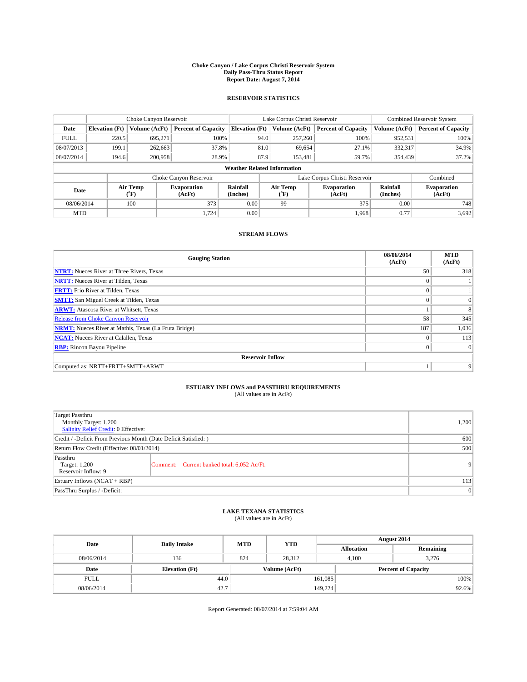#### **Choke Canyon / Lake Corpus Christi Reservoir System Daily Pass-Thru Status Report Report Date: August 7, 2014**

### **RESERVOIR STATISTICS**

|             |                                    | Choke Canyon Reservoir |                              |                       | Lake Corpus Christi Reservoir | <b>Combined Reservoir System</b> |                      |                              |  |
|-------------|------------------------------------|------------------------|------------------------------|-----------------------|-------------------------------|----------------------------------|----------------------|------------------------------|--|
| Date        | <b>Elevation</b> (Ft)              | Volume (AcFt)          | <b>Percent of Capacity</b>   | <b>Elevation (Ft)</b> | Volume (AcFt)                 | <b>Percent of Capacity</b>       | Volume (AcFt)        | Percent of Capacity          |  |
| <b>FULL</b> | 220.5                              | 695,271                | 100%                         | 94.0                  | 257,260                       | 100%                             | 952,531              | 100%                         |  |
| 08/07/2013  | 199.1                              | 262,663                | 37.8%                        | 81.0                  | 69,654                        | 27.1%                            | 332,317              | 34.9%                        |  |
| 08/07/2014  | 194.6                              | 200,958                | 28.9%                        | 87.9                  | 153.481                       | 59.7%                            | 354,439              | $37.2\%$                     |  |
|             | <b>Weather Related Information</b> |                        |                              |                       |                               |                                  |                      |                              |  |
|             |                                    |                        | Choke Canyon Reservoir       |                       |                               | Lake Corpus Christi Reservoir    |                      | Combined                     |  |
| Date        |                                    | Air Temp<br>(°F)       | <b>Evaporation</b><br>(AcFt) | Rainfall<br>(Inches)  | Air Temp<br>("F)              | <b>Evaporation</b><br>(AcFt)     | Rainfall<br>(Inches) | <b>Evaporation</b><br>(AcFt) |  |
| 08/06/2014  |                                    | 100                    | 373                          | 0.00                  | 375<br>99                     |                                  | 0.00                 | 748                          |  |
| <b>MTD</b>  |                                    |                        | 1.724                        | 0.00                  |                               | 1.968                            | 0.77                 | 3.692                        |  |

### **STREAM FLOWS**

| <b>Gauging Station</b>                                       | 08/06/2014<br>(AcFt) | <b>MTD</b><br>(AcFt) |  |  |  |  |
|--------------------------------------------------------------|----------------------|----------------------|--|--|--|--|
| <b>NTRT:</b> Nueces River at Three Rivers, Texas             | 50                   | 318                  |  |  |  |  |
| <b>NRTT:</b> Nueces River at Tilden, Texas                   | $\theta$             |                      |  |  |  |  |
| <b>FRTT:</b> Frio River at Tilden, Texas                     |                      |                      |  |  |  |  |
| <b>SMTT:</b> San Miguel Creek at Tilden, Texas               | $\theta$             | $\overline{0}$       |  |  |  |  |
| <b>ARWT:</b> Atascosa River at Whitsett, Texas               |                      | 8                    |  |  |  |  |
| <b>Release from Choke Canyon Reservoir</b>                   | 58                   | 345                  |  |  |  |  |
| <b>NRMT:</b> Nueces River at Mathis, Texas (La Fruta Bridge) | 187                  | 1,036                |  |  |  |  |
| <b>NCAT:</b> Nueces River at Calallen, Texas                 | $\theta$             | 113                  |  |  |  |  |
| <b>RBP:</b> Rincon Bayou Pipeline                            | $\theta$             | $\Omega$             |  |  |  |  |
| <b>Reservoir Inflow</b>                                      |                      |                      |  |  |  |  |
| Computed as: NRTT+FRTT+SMTT+ARWT                             |                      | 9                    |  |  |  |  |

# **ESTUARY INFLOWS and PASSTHRU REQUIREMENTS**<br>(All values are in AcFt)

| Target Passthru<br>Monthly Target: 1,200<br>Salinity Relief Credit: 0 Effective: |                                             | 1,200          |
|----------------------------------------------------------------------------------|---------------------------------------------|----------------|
| Credit / -Deficit From Previous Month (Date Deficit Satisfied: )                 | 600                                         |                |
| Return Flow Credit (Effective: 08/01/2014)                                       | 500                                         |                |
| Passthru<br>Target: 1,200<br>Reservoir Inflow: 9                                 | Comment: Current banked total: 6,052 Ac/Ft. | 9 <sup>1</sup> |
| Estuary Inflows (NCAT + RBP)                                                     | 113                                         |                |
| PassThru Surplus / -Deficit:                                                     | 0                                           |                |

## **LAKE TEXANA STATISTICS** (All values are in AcFt)

| Date        | <b>Daily Intake</b>   | <b>MTD</b> | <b>YTD</b>    | August 2014       |                            |  |  |
|-------------|-----------------------|------------|---------------|-------------------|----------------------------|--|--|
|             |                       |            |               | <b>Allocation</b> | Remaining                  |  |  |
| 08/06/2014  | 136                   | 824        | 28,312        | 4,100             | 3,276                      |  |  |
| Date        | <b>Elevation</b> (Ft) |            | Volume (AcFt) |                   | <b>Percent of Capacity</b> |  |  |
| <b>FULL</b> |                       | 44.0       |               | 161,085           | 100%                       |  |  |
| 08/06/2014  | 42.7                  |            |               | 149,224           | 92.6%                      |  |  |

Report Generated: 08/07/2014 at 7:59:04 AM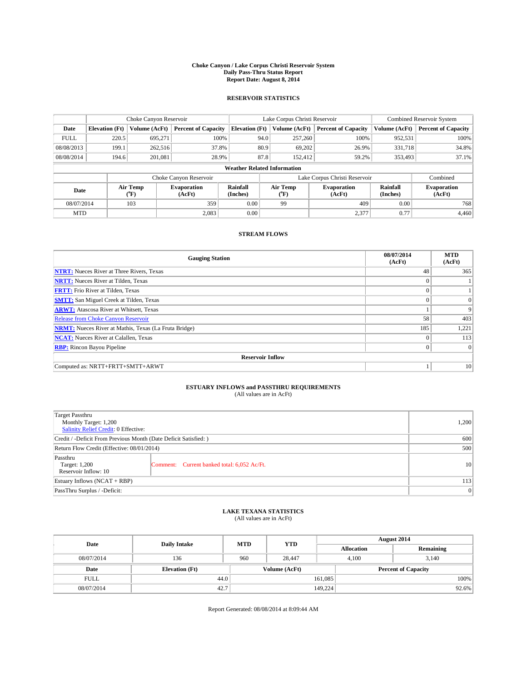#### **Choke Canyon / Lake Corpus Christi Reservoir System Daily Pass-Thru Status Report Report Date: August 8, 2014**

### **RESERVOIR STATISTICS**

|             | Choke Canyon Reservoir             |                  | Lake Corpus Christi Reservoir |                       |      |                  | <b>Combined Reservoir System</b> |               |                              |
|-------------|------------------------------------|------------------|-------------------------------|-----------------------|------|------------------|----------------------------------|---------------|------------------------------|
| Date        | <b>Elevation</b> (Ft)              | Volume (AcFt)    | <b>Percent of Capacity</b>    | <b>Elevation (Ft)</b> |      | Volume (AcFt)    | <b>Percent of Capacity</b>       | Volume (AcFt) | Percent of Capacity          |
| <b>FULL</b> | 220.5                              | 695,271          | 100%                          |                       | 94.0 | 257,260          | 100%                             | 952,531       | 100%                         |
| 08/08/2013  | 199.1                              | 262,516          | 37.8%                         |                       | 80.9 | 69,202           | 26.9%                            | 331,718       | 34.8%                        |
| 08/08/2014  | 194.6                              | 201,081          | 28.9%                         |                       | 87.8 | 152.412          | 59.2%                            | 353,493       | $37.1\%$                     |
|             | <b>Weather Related Information</b> |                  |                               |                       |      |                  |                                  |               |                              |
|             |                                    |                  | Choke Canyon Reservoir        |                       |      |                  | Lake Corpus Christi Reservoir    |               | Combined                     |
| Date        |                                    | Air Temp<br>(°F) | <b>Evaporation</b><br>(AcFt)  | Rainfall<br>(Inches)  |      | Air Temp<br>("F) | <b>Evaporation</b><br>(AcFt)     |               | <b>Evaporation</b><br>(AcFt) |
| 08/07/2014  |                                    | 103              | 359                           | 0.00                  | 99   |                  | 409                              | 0.00          | 768                          |
| <b>MTD</b>  |                                    |                  | 2.083                         | 0.00                  |      |                  | 2,377                            | 0.77          | 4.460                        |

### **STREAM FLOWS**

| <b>Gauging Station</b>                                       | 08/07/2014<br>(AcFt) | <b>MTD</b><br>(AcFt) |  |  |  |  |
|--------------------------------------------------------------|----------------------|----------------------|--|--|--|--|
| <b>NTRT:</b> Nueces River at Three Rivers, Texas             | 48                   | 365                  |  |  |  |  |
| <b>NRTT:</b> Nueces River at Tilden, Texas                   |                      |                      |  |  |  |  |
| <b>FRTT:</b> Frio River at Tilden, Texas                     |                      |                      |  |  |  |  |
| <b>SMTT:</b> San Miguel Creek at Tilden, Texas               | $\theta$             | $\Omega$             |  |  |  |  |
| <b>ARWT:</b> Atascosa River at Whitsett, Texas               |                      | 9                    |  |  |  |  |
| <b>Release from Choke Canyon Reservoir</b>                   | 58                   | 403                  |  |  |  |  |
| <b>NRMT:</b> Nueces River at Mathis, Texas (La Fruta Bridge) | 185                  | 1,221                |  |  |  |  |
| <b>NCAT:</b> Nueces River at Calallen, Texas                 | $\theta$             | 113                  |  |  |  |  |
| <b>RBP:</b> Rincon Bayou Pipeline                            | $\Omega$             | $\Omega$             |  |  |  |  |
| <b>Reservoir Inflow</b>                                      |                      |                      |  |  |  |  |
| Computed as: NRTT+FRTT+SMTT+ARWT                             |                      | 10                   |  |  |  |  |

# **ESTUARY INFLOWS and PASSTHRU REQUIREMENTS**<br>(All values are in AcFt)

| Target Passthru<br>Monthly Target: 1,200<br>Salinity Relief Credit: 0 Effective: |                                             | 1,200           |  |  |
|----------------------------------------------------------------------------------|---------------------------------------------|-----------------|--|--|
| Credit / -Deficit From Previous Month (Date Deficit Satisfied: )                 |                                             |                 |  |  |
| Return Flow Credit (Effective: 08/01/2014)                                       |                                             |                 |  |  |
| Passthru<br>Target: 1,200<br>Reservoir Inflow: 10                                | Comment: Current banked total: 6,052 Ac/Ft. | 10 <sup>1</sup> |  |  |
| Estuary Inflows (NCAT + RBP)                                                     |                                             |                 |  |  |
| PassThru Surplus / -Deficit:                                                     | 0                                           |                 |  |  |

# **LAKE TEXANA STATISTICS** (All values are in AcFt)

| Date        | <b>Daily Intake</b>   | <b>MTD</b> | <b>YTD</b>    | August 2014                |  |           |       |
|-------------|-----------------------|------------|---------------|----------------------------|--|-----------|-------|
|             |                       |            |               | <b>Allocation</b>          |  | Remaining |       |
| 08/07/2014  | 136                   | 960        | 28,447        | 4.100                      |  | 3.140     |       |
| Date        | <b>Elevation (Ft)</b> |            | Volume (AcFt) | <b>Percent of Capacity</b> |  |           |       |
| <b>FULL</b> | 44.0                  |            |               | 161,085                    |  |           | 100%  |
| 08/07/2014  | 42.7                  |            |               | 149,224                    |  |           | 92.6% |

Report Generated: 08/08/2014 at 8:09:44 AM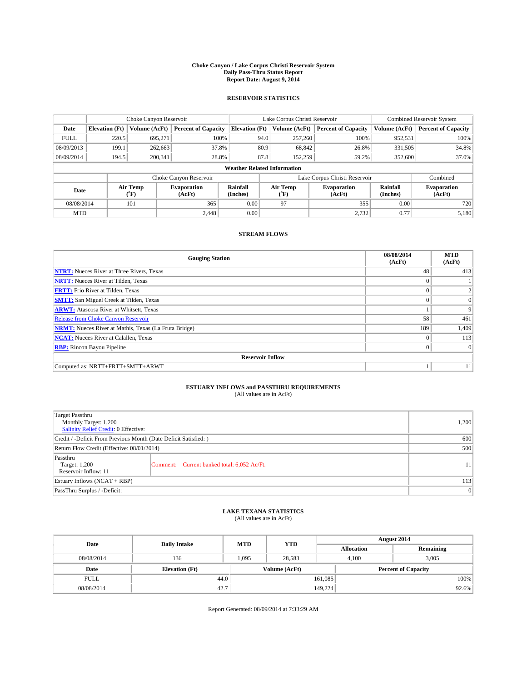#### **Choke Canyon / Lake Corpus Christi Reservoir System Daily Pass-Thru Status Report Report Date: August 9, 2014**

### **RESERVOIR STATISTICS**

|             | Choke Canyon Reservoir             |                  | Lake Corpus Christi Reservoir |                       |               |                                          | <b>Combined Reservoir System</b> |                      |                              |
|-------------|------------------------------------|------------------|-------------------------------|-----------------------|---------------|------------------------------------------|----------------------------------|----------------------|------------------------------|
| Date        | <b>Elevation</b> (Ft)              | Volume (AcFt)    | <b>Percent of Capacity</b>    | <b>Elevation (Ft)</b> | Volume (AcFt) |                                          | <b>Percent of Capacity</b>       | Volume (AcFt)        | Percent of Capacity          |
| <b>FULL</b> | 220.5                              | 695,271          | 100%                          |                       | 94.0          | 257,260                                  | 100%                             | 952,531              | 100%                         |
| 08/09/2013  | 199.1                              | 262,663          | 37.8%                         |                       | 80.9          | 68,842                                   | 26.8%                            | 331,505              | 34.8%                        |
| 08/09/2014  | 194.5                              | 200,341          | 28.8%                         |                       | 87.8          | 152,259                                  | 59.2%                            | 352,600              | 37.0%                        |
|             | <b>Weather Related Information</b> |                  |                               |                       |               |                                          |                                  |                      |                              |
|             |                                    |                  | Choke Canyon Reservoir        |                       |               |                                          | Lake Corpus Christi Reservoir    |                      | Combined                     |
| Date        |                                    | Air Temp<br>(°F) | <b>Evaporation</b><br>(AcFt)  | Rainfall<br>(Inches)  | ("F)          | Air Temp<br><b>Evaporation</b><br>(AcFt) |                                  | Rainfall<br>(Inches) | <b>Evaporation</b><br>(AcFt) |
| 08/08/2014  |                                    | 101              | 365                           | 0.00                  | 97            |                                          | 355                              | 0.00                 | 720                          |
| <b>MTD</b>  |                                    |                  | 2.448                         | 0.00                  |               |                                          | 2,732                            | 0.77                 | 5,180                        |

### **STREAM FLOWS**

| <b>Gauging Station</b>                                       | 08/08/2014<br>(AcFt) | <b>MTD</b><br>(AcFt) |  |  |  |  |
|--------------------------------------------------------------|----------------------|----------------------|--|--|--|--|
| <b>NTRT:</b> Nueces River at Three Rivers, Texas             | 48                   | 413                  |  |  |  |  |
| <b>NRTT:</b> Nueces River at Tilden, Texas                   | $\theta$             |                      |  |  |  |  |
| <b>FRTT:</b> Frio River at Tilden, Texas                     | $\theta$             | 2                    |  |  |  |  |
| <b>SMTT:</b> San Miguel Creek at Tilden, Texas               | $\theta$             | $\theta$             |  |  |  |  |
| <b>ARWT:</b> Atascosa River at Whitsett, Texas               |                      | 9                    |  |  |  |  |
| Release from Choke Canyon Reservoir                          | 58                   | 461                  |  |  |  |  |
| <b>NRMT:</b> Nueces River at Mathis, Texas (La Fruta Bridge) | 189                  | 1,409                |  |  |  |  |
| <b>NCAT:</b> Nueces River at Calallen, Texas                 | $\Omega$             | 113                  |  |  |  |  |
| <b>RBP:</b> Rincon Bayou Pipeline                            | $\Omega$             | $\Omega$             |  |  |  |  |
| <b>Reservoir Inflow</b>                                      |                      |                      |  |  |  |  |
| Computed as: NRTT+FRTT+SMTT+ARWT                             |                      | 11                   |  |  |  |  |

# **ESTUARY INFLOWS and PASSTHRU REQUIREMENTS**<br>(All values are in AcFt)

| Target Passthru<br>Monthly Target: 1,200<br>Salinity Relief Credit: 0 Effective: |                                             | 1,200 |  |  |
|----------------------------------------------------------------------------------|---------------------------------------------|-------|--|--|
| Credit / -Deficit From Previous Month (Date Deficit Satisfied: )                 | 600                                         |       |  |  |
| Return Flow Credit (Effective: 08/01/2014)                                       |                                             |       |  |  |
| Passthru<br>Target: 1,200<br>Reservoir Inflow: 11                                | Comment: Current banked total: 6,052 Ac/Ft. | 11    |  |  |
| Estuary Inflows (NCAT + RBP)                                                     |                                             |       |  |  |
| PassThru Surplus / -Deficit:                                                     | 0                                           |       |  |  |

## **LAKE TEXANA STATISTICS** (All values are in AcFt)

| Date        | <b>Daily Intake</b>   | <b>MTD</b> | <b>YTD</b>    | August 2014                |                |           |  |
|-------------|-----------------------|------------|---------------|----------------------------|----------------|-----------|--|
|             |                       |            |               | <b>Allocation</b>          |                | Remaining |  |
| 08/08/2014  | 136                   | 1.095      | 28.583        |                            | 3,005<br>4.100 |           |  |
| Date        | <b>Elevation</b> (Ft) |            | Volume (AcFt) | <b>Percent of Capacity</b> |                |           |  |
| <b>FULL</b> | 44.0                  |            |               | 161,085                    |                | 100%      |  |
| 08/08/2014  | 42.7                  |            |               | 149,224                    |                | 92.6%     |  |

Report Generated: 08/09/2014 at 7:33:29 AM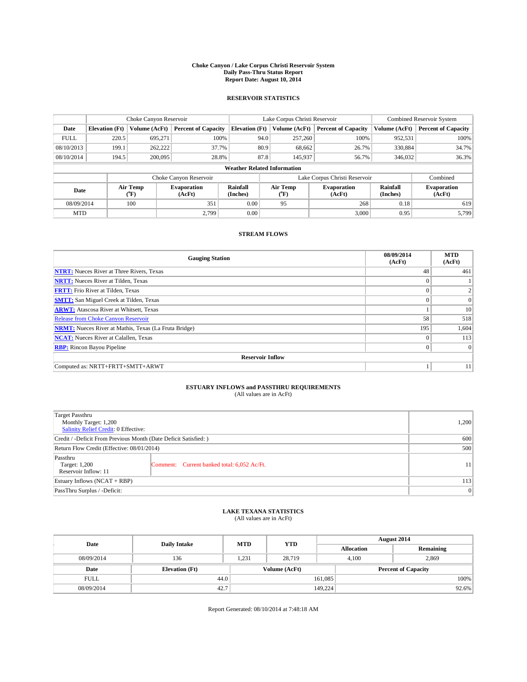#### **Choke Canyon / Lake Corpus Christi Reservoir System Daily Pass-Thru Status Report Report Date: August 10, 2014**

### **RESERVOIR STATISTICS**

|             | Choke Canyon Reservoir                                                                       |               |                              |                                    | Lake Corpus Christi Reservoir | Combined Reservoir System     |               |                            |
|-------------|----------------------------------------------------------------------------------------------|---------------|------------------------------|------------------------------------|-------------------------------|-------------------------------|---------------|----------------------------|
| Date        | <b>Elevation</b> (Ft)                                                                        | Volume (AcFt) | <b>Percent of Capacity</b>   | <b>Elevation (Ft)</b>              | Volume (AcFt)                 | <b>Percent of Capacity</b>    | Volume (AcFt) | <b>Percent of Capacity</b> |
| <b>FULL</b> | 220.5                                                                                        | 695,271       | 100%                         | 94.0                               | 257,260                       | 100%                          | 952,531       | 100%                       |
| 08/10/2013  | 199.1                                                                                        | 262,222       | 37.7%                        | 80.9                               | 68,662                        | 26.7%                         | 330,884       | 34.7%                      |
| 08/10/2014  | 194.5                                                                                        | 200,095       | 28.8%                        | 87.8                               | 145,937                       | 56.7%                         | 346,032       | 36.3%                      |
|             |                                                                                              |               |                              | <b>Weather Related Information</b> |                               |                               |               |                            |
|             |                                                                                              |               | Choke Canyon Reservoir       |                                    |                               | Lake Corpus Christi Reservoir |               | Combined                   |
| Date        | Air Temp<br>Rainfall<br>Air Temp<br><b>Evaporation</b><br>(°F)<br>(AcFt)<br>(Inches)<br>(°F) |               | <b>Evaporation</b><br>(AcFt) | Rainfall<br>(Inches)               | <b>Evaporation</b><br>(AcFt)  |                               |               |                            |
| 08/09/2014  |                                                                                              | 100           | 351                          | 0.00                               | 95                            | 268                           | 0.18          | 619                        |
| <b>MTD</b>  |                                                                                              |               | 2.799                        | 0.00                               |                               | 3,000                         | 0.95          | 5.799                      |

### **STREAM FLOWS**

| <b>Gauging Station</b>                                       | 08/09/2014<br>(AcFt) | <b>MTD</b><br>(AcFt) |  |  |  |  |  |
|--------------------------------------------------------------|----------------------|----------------------|--|--|--|--|--|
| <b>NTRT:</b> Nueces River at Three Rivers, Texas             | 48                   | 461                  |  |  |  |  |  |
| <b>NRTT:</b> Nueces River at Tilden, Texas                   |                      |                      |  |  |  |  |  |
| <b>FRTT:</b> Frio River at Tilden, Texas                     |                      | 2                    |  |  |  |  |  |
| <b>SMTT:</b> San Miguel Creek at Tilden, Texas               |                      | $\Omega$             |  |  |  |  |  |
| <b>ARWT:</b> Atascosa River at Whitsett, Texas               |                      | 10                   |  |  |  |  |  |
| Release from Choke Canyon Reservoir                          | 58                   | 518                  |  |  |  |  |  |
| <b>NRMT:</b> Nueces River at Mathis, Texas (La Fruta Bridge) | 195                  | 1,604                |  |  |  |  |  |
| <b>NCAT:</b> Nueces River at Calallen, Texas                 | $\Omega$             | 113                  |  |  |  |  |  |
| <b>RBP:</b> Rincon Bayou Pipeline                            | $\theta$             | $\Omega$             |  |  |  |  |  |
| <b>Reservoir Inflow</b>                                      |                      |                      |  |  |  |  |  |
| Computed as: NRTT+FRTT+SMTT+ARWT                             |                      | 11                   |  |  |  |  |  |

# **ESTUARY INFLOWS and PASSTHRU REQUIREMENTS**<br>(All values are in AcFt)

| <b>Target Passthru</b><br>Monthly Target: 1,200<br>Salinity Relief Credit: 0 Effective: |                                             | 1,200           |
|-----------------------------------------------------------------------------------------|---------------------------------------------|-----------------|
| Credit / -Deficit From Previous Month (Date Deficit Satisfied: )                        | 600                                         |                 |
| Return Flow Credit (Effective: 08/01/2014)                                              | 500                                         |                 |
| Passthru<br>Target: 1,200<br>Reservoir Inflow: 11                                       | Comment: Current banked total: 6,052 Ac/Ft. | 11 <sup>1</sup> |
| Estuary Inflows (NCAT + RBP)                                                            | 113                                         |                 |
| PassThru Surplus / -Deficit:                                                            | 0                                           |                 |

## **LAKE TEXANA STATISTICS** (All values are in AcFt)

| Date        | <b>Daily Intake</b>   | <b>MTD</b> | <b>YTD</b>    | August 2014       |       |                            |  |
|-------------|-----------------------|------------|---------------|-------------------|-------|----------------------------|--|
|             |                       |            |               | <b>Allocation</b> |       | Remaining                  |  |
| 08/09/2014  | 136                   | 1.231      | 28,719        |                   | 4.100 | 2,869                      |  |
| Date        | <b>Elevation</b> (Ft) |            | Volume (AcFt) |                   |       | <b>Percent of Capacity</b> |  |
| <b>FULL</b> | 44.0                  |            |               | 161,085           |       | 100%                       |  |
| 08/09/2014  | 42.7                  |            |               | 149,224           |       | 92.6%                      |  |

Report Generated: 08/10/2014 at 7:48:18 AM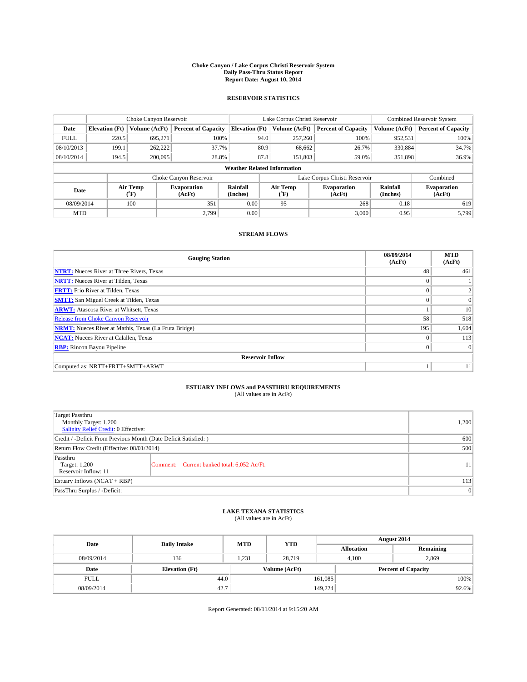#### **Choke Canyon / Lake Corpus Christi Reservoir System Daily Pass-Thru Status Report Report Date: August 10, 2014**

### **RESERVOIR STATISTICS**

|             | Choke Canyon Reservoir |                  |                              |                                    | Lake Corpus Christi Reservoir | <b>Combined Reservoir System</b> |                      |                              |
|-------------|------------------------|------------------|------------------------------|------------------------------------|-------------------------------|----------------------------------|----------------------|------------------------------|
| Date        | <b>Elevation</b> (Ft)  | Volume (AcFt)    | <b>Percent of Capacity</b>   | <b>Elevation (Ft)</b>              | Volume (AcFt)                 | <b>Percent of Capacity</b>       | Volume (AcFt)        | Percent of Capacity          |
| <b>FULL</b> | 220.5                  | 695,271          | 100%                         | 94.0                               | 257,260                       | 100%                             | 952,531              | 100%                         |
| 08/10/2013  | 199.1                  | 262,222          | 37.7%                        | 80.9                               | 68,662                        | 26.7%                            | 330,884              | 34.7%                        |
| 08/10/2014  | 194.5                  | 200,095          | 28.8%                        | 87.8                               | 151.803                       | 59.0%                            | 351,898              | $36.9\%$                     |
|             |                        |                  |                              | <b>Weather Related Information</b> |                               |                                  |                      |                              |
|             |                        |                  | Choke Canyon Reservoir       |                                    |                               | Lake Corpus Christi Reservoir    |                      | Combined                     |
| Date        |                        | Air Temp<br>(°F) | <b>Evaporation</b><br>(AcFt) | Rainfall<br>(Inches)               | Air Temp<br>("F)              | <b>Evaporation</b><br>(AcFt)     | Rainfall<br>(Inches) | <b>Evaporation</b><br>(AcFt) |
| 08/09/2014  |                        | 100              | 351                          | 0.00                               | 95                            | 268                              | 0.18                 | 619                          |
| <b>MTD</b>  |                        |                  | 2.799                        | 0.00                               |                               | 3,000                            | 0.95                 | 5.799                        |

### **STREAM FLOWS**

| <b>Gauging Station</b>                                       | 08/09/2014<br>(AcFt) | <b>MTD</b><br>(AcFt) |  |  |  |  |  |
|--------------------------------------------------------------|----------------------|----------------------|--|--|--|--|--|
| <b>NTRT:</b> Nueces River at Three Rivers, Texas             | 48                   | 461                  |  |  |  |  |  |
| <b>NRTT:</b> Nueces River at Tilden, Texas                   |                      |                      |  |  |  |  |  |
| <b>FRTT:</b> Frio River at Tilden, Texas                     |                      | 2                    |  |  |  |  |  |
| <b>SMTT:</b> San Miguel Creek at Tilden, Texas               |                      | $\Omega$             |  |  |  |  |  |
| <b>ARWT:</b> Atascosa River at Whitsett, Texas               |                      | 10                   |  |  |  |  |  |
| <b>Release from Choke Canyon Reservoir</b>                   | 58                   | 518                  |  |  |  |  |  |
| <b>NRMT:</b> Nueces River at Mathis, Texas (La Fruta Bridge) | 195                  | 1,604                |  |  |  |  |  |
| <b>NCAT:</b> Nueces River at Calallen, Texas                 | $\theta$             | 113                  |  |  |  |  |  |
| <b>RBP:</b> Rincon Bayou Pipeline                            | $\Omega$             | $\Omega$             |  |  |  |  |  |
| <b>Reservoir Inflow</b>                                      |                      |                      |  |  |  |  |  |
| Computed as: NRTT+FRTT+SMTT+ARWT                             |                      | 11                   |  |  |  |  |  |

# **ESTUARY INFLOWS and PASSTHRU REQUIREMENTS**<br>(All values are in AcFt)

| Target Passthru<br>Monthly Target: 1,200<br>Salinity Relief Credit: 0 Effective: |                                             | 1,200 |  |  |
|----------------------------------------------------------------------------------|---------------------------------------------|-------|--|--|
| Credit / -Deficit From Previous Month (Date Deficit Satisfied: )                 | 600                                         |       |  |  |
| Return Flow Credit (Effective: 08/01/2014)                                       |                                             |       |  |  |
| Passthru<br>Target: 1,200<br>Reservoir Inflow: 11                                | Comment: Current banked total: 6,052 Ac/Ft. | 11    |  |  |
| Estuary Inflows (NCAT + RBP)                                                     |                                             |       |  |  |
| PassThru Surplus / -Deficit:                                                     | 0                                           |       |  |  |

# **LAKE TEXANA STATISTICS** (All values are in AcFt)

| Date        | <b>Daily Intake</b>   | <b>MTD</b> | <b>YTD</b>    | August 2014       |       |                            |  |
|-------------|-----------------------|------------|---------------|-------------------|-------|----------------------------|--|
|             |                       |            |               | <b>Allocation</b> |       | Remaining                  |  |
| 08/09/2014  | 136                   | 1.231      | 28,719        |                   | 4.100 | 2,869                      |  |
| Date        | <b>Elevation</b> (Ft) |            | Volume (AcFt) |                   |       | <b>Percent of Capacity</b> |  |
| <b>FULL</b> | 44.0                  |            |               | 161,085           |       | 100%                       |  |
| 08/09/2014  | 42.7                  |            |               | 149,224           |       | 92.6%                      |  |

Report Generated: 08/11/2014 at 9:15:20 AM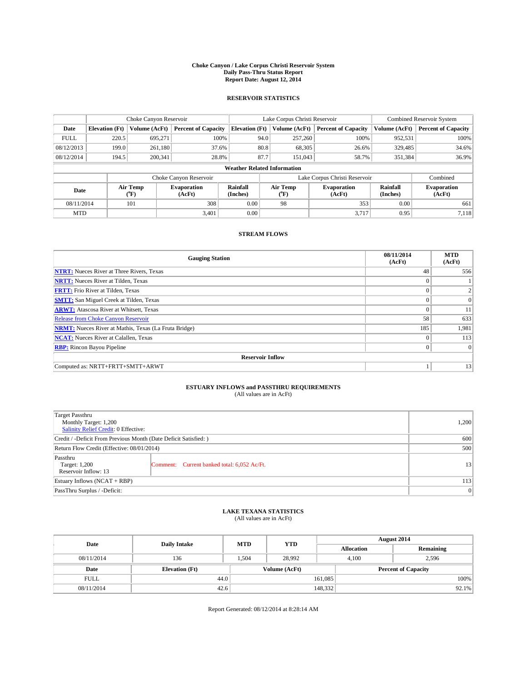#### **Choke Canyon / Lake Corpus Christi Reservoir System Daily Pass-Thru Status Report Report Date: August 12, 2014**

### **RESERVOIR STATISTICS**

|             | Choke Canyon Reservoir |                  |                              |                                    | Lake Corpus Christi Reservoir | <b>Combined Reservoir System</b> |                      |                              |
|-------------|------------------------|------------------|------------------------------|------------------------------------|-------------------------------|----------------------------------|----------------------|------------------------------|
| Date        | <b>Elevation</b> (Ft)  | Volume (AcFt)    | <b>Percent of Capacity</b>   | <b>Elevation (Ft)</b>              | Volume (AcFt)                 | <b>Percent of Capacity</b>       | Volume (AcFt)        | Percent of Capacity          |
| <b>FULL</b> | 220.5                  | 695,271          | 100%                         | 94.0                               | 257,260                       | 100%                             | 952,531              | 100%                         |
| 08/12/2013  | 199.0                  | 261,180          | 37.6%                        | 80.8                               | 68,305                        | 26.6%                            | 329,485              | 34.6%                        |
| 08/12/2014  | 194.5                  | 200,341          | 28.8%                        | 87.7                               | 151.043                       | 58.7%                            | 351,384              | $36.9\%$                     |
|             |                        |                  |                              | <b>Weather Related Information</b> |                               |                                  |                      |                              |
|             |                        |                  | Choke Canyon Reservoir       |                                    |                               | Lake Corpus Christi Reservoir    |                      | Combined                     |
| Date        |                        | Air Temp<br>(°F) | <b>Evaporation</b><br>(AcFt) | Rainfall<br>(Inches)               | Air Temp<br>("F)              | <b>Evaporation</b><br>(AcFt)     | Rainfall<br>(Inches) | <b>Evaporation</b><br>(AcFt) |
| 08/11/2014  |                        | 101              | 308                          | 0.00                               | 98                            | 353                              | 0.00                 | 661                          |
| <b>MTD</b>  |                        |                  | 3.401                        | 0.00                               |                               | 3.717                            | 0.95                 | 7.118                        |

### **STREAM FLOWS**

| <b>Gauging Station</b>                                       | 08/11/2014<br>(AcFt) | <b>MTD</b><br>(AcFt) |  |  |  |  |  |
|--------------------------------------------------------------|----------------------|----------------------|--|--|--|--|--|
| <b>NTRT:</b> Nueces River at Three Rivers, Texas             | 48                   | 556                  |  |  |  |  |  |
| <b>NRTT:</b> Nueces River at Tilden, Texas                   |                      |                      |  |  |  |  |  |
| <b>FRTT:</b> Frio River at Tilden, Texas                     |                      |                      |  |  |  |  |  |
| <b>SMTT:</b> San Miguel Creek at Tilden, Texas               |                      | $\overline{0}$       |  |  |  |  |  |
| <b>ARWT:</b> Atascosa River at Whitsett, Texas               | $\theta$             | 11                   |  |  |  |  |  |
| <b>Release from Choke Canyon Reservoir</b>                   | 58                   | 633                  |  |  |  |  |  |
| <b>NRMT:</b> Nueces River at Mathis, Texas (La Fruta Bridge) | 185                  | 1,981                |  |  |  |  |  |
| <b>NCAT:</b> Nueces River at Calallen, Texas                 | $\theta$             | 113                  |  |  |  |  |  |
| <b>RBP:</b> Rincon Bayou Pipeline                            | $\Omega$             | $\Omega$             |  |  |  |  |  |
| <b>Reservoir Inflow</b>                                      |                      |                      |  |  |  |  |  |
| Computed as: NRTT+FRTT+SMTT+ARWT                             |                      | 13                   |  |  |  |  |  |

# **ESTUARY INFLOWS and PASSTHRU REQUIREMENTS**<br>(All values are in AcFt)

| <b>Target Passthru</b><br>Monthly Target: 1,200<br>Salinity Relief Credit: 0 Effective: |                                             | 1,200 |
|-----------------------------------------------------------------------------------------|---------------------------------------------|-------|
| Credit / -Deficit From Previous Month (Date Deficit Satisfied: )                        | 600                                         |       |
| Return Flow Credit (Effective: 08/01/2014)                                              | 500                                         |       |
| Passthru<br>Target: 1,200<br>Reservoir Inflow: 13                                       | Comment: Current banked total: 6,052 Ac/Ft. | 13    |
| Estuary Inflows (NCAT + RBP)                                                            | 113                                         |       |
| PassThru Surplus / -Deficit:                                                            | 0                                           |       |

## **LAKE TEXANA STATISTICS** (All values are in AcFt)

| Date        | <b>Daily Intake</b>   | <b>MTD</b> | <b>YTD</b>    | August 2014       |                            |           |  |
|-------------|-----------------------|------------|---------------|-------------------|----------------------------|-----------|--|
|             |                       |            |               | <b>Allocation</b> |                            | Remaining |  |
| 08/11/2014  | 136                   | 1.504      | 28.992        |                   | 4.100                      | 2,596     |  |
| Date        | <b>Elevation</b> (Ft) |            | Volume (AcFt) |                   | <b>Percent of Capacity</b> |           |  |
| <b>FULL</b> | 44.0                  |            |               | 161,085           |                            | 100%      |  |
| 08/11/2014  | 42.6                  |            |               | 148,332           |                            | $92.1\%$  |  |

Report Generated: 08/12/2014 at 8:28:14 AM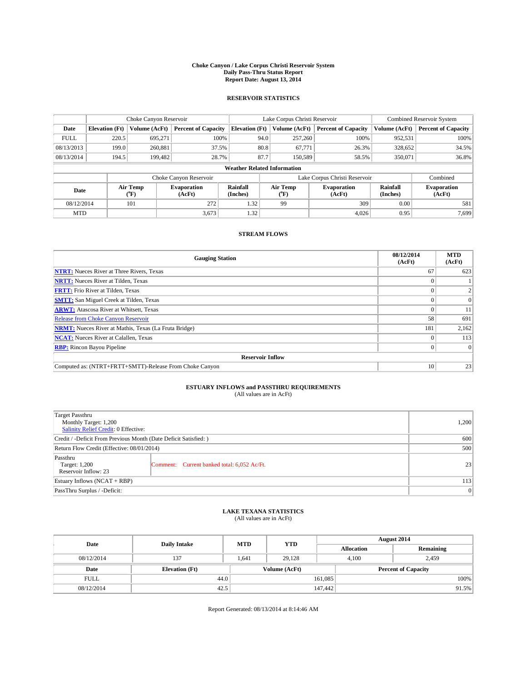#### **Choke Canyon / Lake Corpus Christi Reservoir System Daily Pass-Thru Status Report Report Date: August 13, 2014**

### **RESERVOIR STATISTICS**

|             |                       | Choke Canyon Reservoir |                              |                                    | Lake Corpus Christi Reservoir                    | <b>Combined Reservoir System</b> |                      |                              |
|-------------|-----------------------|------------------------|------------------------------|------------------------------------|--------------------------------------------------|----------------------------------|----------------------|------------------------------|
| Date        | <b>Elevation</b> (Ft) | Volume (AcFt)          | <b>Percent of Capacity</b>   | <b>Elevation (Ft)</b>              | Volume (AcFt)                                    | <b>Percent of Capacity</b>       | Volume (AcFt)        | <b>Percent of Capacity</b>   |
| <b>FULL</b> | 220.5                 | 695.271                | 100%                         | 94.0                               | 257,260                                          | 100%                             | 952,531              | 100%                         |
| 08/13/2013  | 199.0                 | 260,881                | 37.5%                        | 80.8                               | 67,771                                           | 26.3%                            | 328,652              | 34.5%                        |
| 08/13/2014  | 194.5                 | 199,482                | 28.7%                        | 87.7                               | 150,589                                          | 58.5%                            | 350,071              | 36.8%                        |
|             |                       |                        |                              | <b>Weather Related Information</b> |                                                  |                                  |                      |                              |
|             |                       |                        | Choke Canyon Reservoir       |                                    | Lake Corpus Christi Reservoir                    | Combined                         |                      |                              |
| Date        |                       | Air Temp<br>(°F)       | <b>Evaporation</b><br>(AcFt) | Rainfall<br>(Inches)               | Air Temp<br><b>Evaporation</b><br>(AcFt)<br>(°F) |                                  | Rainfall<br>(Inches) | <b>Evaporation</b><br>(AcFt) |
| 08/12/2014  |                       | 101                    | 272                          | 1.32                               | 99                                               | 309                              | 0.00                 | 581                          |
| <b>MTD</b>  |                       |                        | 3.673                        | 1.32                               |                                                  | 4.026                            | 0.95                 | 7.699                        |

### **STREAM FLOWS**

| <b>Gauging Station</b>                                       | 08/12/2014<br>(AcFt) | <b>MTD</b><br>(AcFt) |
|--------------------------------------------------------------|----------------------|----------------------|
| <b>NTRT:</b> Nueces River at Three Rivers, Texas             | 67                   | 623                  |
| <b>NRTT:</b> Nueces River at Tilden, Texas                   |                      |                      |
| <b>FRTT:</b> Frio River at Tilden, Texas                     |                      |                      |
| <b>SMTT:</b> San Miguel Creek at Tilden, Texas               |                      | $\Omega$             |
| <b>ARWT:</b> Atascosa River at Whitsett, Texas               |                      | 11                   |
| <b>Release from Choke Canyon Reservoir</b>                   | 58                   | 691                  |
| <b>NRMT:</b> Nueces River at Mathis, Texas (La Fruta Bridge) | 181                  | 2,162                |
| <b>NCAT:</b> Nueces River at Calallen, Texas                 |                      | 113                  |
| <b>RBP:</b> Rincon Bayou Pipeline                            | $\Omega$             | $\Omega$             |
| <b>Reservoir Inflow</b>                                      |                      |                      |
| Computed as: (NTRT+FRTT+SMTT)-Release From Choke Canyon      | 10                   | 23                   |

# **ESTUARY INFLOWS and PASSTHRU REQUIREMENTS**<br>(All values are in AcFt)

| Target Passthru<br>Monthly Target: 1,200<br>Salinity Relief Credit: 0 Effective: |                                             |    |  |  |
|----------------------------------------------------------------------------------|---------------------------------------------|----|--|--|
| Credit / -Deficit From Previous Month (Date Deficit Satisfied: )                 |                                             |    |  |  |
| Return Flow Credit (Effective: 08/01/2014)                                       |                                             |    |  |  |
| Passthru<br>Target: 1,200<br>Reservoir Inflow: 23                                | Comment: Current banked total: 6,052 Ac/Ft. | 23 |  |  |
| Estuary Inflows (NCAT + RBP)                                                     | 113                                         |    |  |  |
| PassThru Surplus / -Deficit:                                                     |                                             |    |  |  |

# **LAKE TEXANA STATISTICS** (All values are in AcFt)

| Date        | <b>Daily Intake</b>   | <b>MTD</b> | <b>YTD</b>    | August 2014       |                            |           |  |
|-------------|-----------------------|------------|---------------|-------------------|----------------------------|-----------|--|
|             |                       |            |               | <b>Allocation</b> |                            | Remaining |  |
| 08/12/2014  | 137                   | 1.641      | 29.128        |                   | 2,459<br>4.100             |           |  |
| Date        | <b>Elevation</b> (Ft) |            | Volume (AcFt) |                   | <b>Percent of Capacity</b> |           |  |
| <b>FULL</b> | 44.0                  |            |               | 161,085           |                            | 100%      |  |
| 08/12/2014  | 42.5                  |            |               | 147,442           |                            | 91.5%     |  |

Report Generated: 08/13/2014 at 8:14:46 AM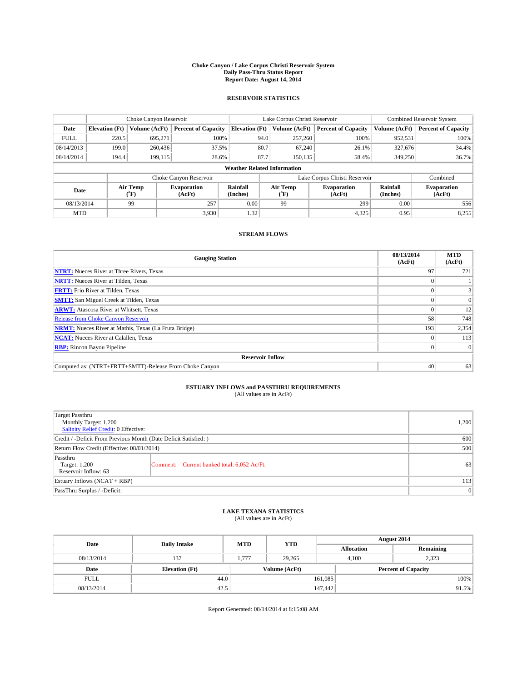#### **Choke Canyon / Lake Corpus Christi Reservoir System Daily Pass-Thru Status Report Report Date: August 14, 2014**

### **RESERVOIR STATISTICS**

|             |                       | Choke Canyon Reservoir |                              |                                    | Lake Corpus Christi Reservoir                    | Combined Reservoir System  |                      |                              |
|-------------|-----------------------|------------------------|------------------------------|------------------------------------|--------------------------------------------------|----------------------------|----------------------|------------------------------|
| Date        | <b>Elevation</b> (Ft) | Volume (AcFt)          | <b>Percent of Capacity</b>   | <b>Elevation</b> (Ft)              | Volume (AcFt)                                    | <b>Percent of Capacity</b> | Volume (AcFt)        | <b>Percent of Capacity</b>   |
| <b>FULL</b> | 220.5                 | 695.271                | 100%                         | 94.0                               | 257,260                                          | 100%                       | 952,531              | 100%                         |
| 08/14/2013  | 199.0                 | 260,436                | 37.5%                        | 80.7                               | 67,240                                           | 26.1%                      | 327,676              | 34.4%                        |
| 08/14/2014  | 194.4                 | 199,115                | 28.6%                        | 87.7                               | 150.135                                          | 58.4%                      | 349,250              | 36.7%                        |
|             |                       |                        |                              | <b>Weather Related Information</b> |                                                  |                            |                      |                              |
|             |                       |                        | Choke Canyon Reservoir       |                                    | Lake Corpus Christi Reservoir                    |                            |                      |                              |
| Date        |                       | Air Temp<br>(°F)       | <b>Evaporation</b><br>(AcFt) | Rainfall<br>(Inches)               | Air Temp<br><b>Evaporation</b><br>(AcFt)<br>(°F) |                            | Rainfall<br>(Inches) | <b>Evaporation</b><br>(AcFt) |
| 08/13/2014  |                       | 99                     | 257                          | 0.00                               | 99                                               | 299                        | 0.00                 | 556                          |
| <b>MTD</b>  |                       |                        | 3.930                        | 1.32                               |                                                  | 4,325                      | 0.95                 | 8,255                        |

### **STREAM FLOWS**

| <b>Gauging Station</b>                                       | 08/13/2014<br>(AcFt) | <b>MTD</b><br>(AcFt) |
|--------------------------------------------------------------|----------------------|----------------------|
| <b>NTRT:</b> Nueces River at Three Rivers, Texas             | 97                   | 721                  |
| <b>NRTT:</b> Nueces River at Tilden, Texas                   |                      |                      |
| <b>FRTT:</b> Frio River at Tilden, Texas                     |                      |                      |
| <b>SMTT:</b> San Miguel Creek at Tilden, Texas               |                      | $\Omega$             |
| <b>ARWT:</b> Atascosa River at Whitsett, Texas               |                      | 12                   |
| <b>Release from Choke Canyon Reservoir</b>                   | 58                   | 748                  |
| <b>NRMT:</b> Nueces River at Mathis, Texas (La Fruta Bridge) | 193                  | 2,354                |
| <b>NCAT:</b> Nueces River at Calallen, Texas                 |                      | 113                  |
| <b>RBP:</b> Rincon Bayou Pipeline                            | $\Omega$             | $\Omega$             |
| <b>Reservoir Inflow</b>                                      |                      |                      |
| Computed as: (NTRT+FRTT+SMTT)-Release From Choke Canyon      | 40                   | 63                   |

# **ESTUARY INFLOWS and PASSTHRU REQUIREMENTS**<br>(All values are in AcFt)

| Target Passthru<br>Monthly Target: 1,200<br>Salinity Relief Credit: 0 Effective: |                                             |    |  |  |
|----------------------------------------------------------------------------------|---------------------------------------------|----|--|--|
| Credit / -Deficit From Previous Month (Date Deficit Satisfied: )                 |                                             |    |  |  |
| Return Flow Credit (Effective: 08/01/2014)                                       |                                             |    |  |  |
| Passthru<br>Target: 1,200<br>Reservoir Inflow: 63                                | Comment: Current banked total: 6,052 Ac/Ft. | 63 |  |  |
| Estuary Inflows (NCAT + RBP)                                                     | 113                                         |    |  |  |
| PassThru Surplus / -Deficit:                                                     |                                             |    |  |  |

# **LAKE TEXANA STATISTICS** (All values are in AcFt)

| Date        | <b>Daily Intake</b>   | <b>MTD</b> | <b>YTD</b>    | August 2014       |                            |           |  |
|-------------|-----------------------|------------|---------------|-------------------|----------------------------|-----------|--|
|             |                       |            |               | <b>Allocation</b> |                            | Remaining |  |
| 08/13/2014  | 137                   | 1.777      | 29,265        |                   | 2,323<br>4.100             |           |  |
| Date        | <b>Elevation</b> (Ft) |            | Volume (AcFt) |                   | <b>Percent of Capacity</b> |           |  |
| <b>FULL</b> | 44.0                  |            |               | 161,085           |                            | 100%      |  |
| 08/13/2014  | 42.5                  |            |               | 147,442           |                            | 91.5%     |  |

Report Generated: 08/14/2014 at 8:15:08 AM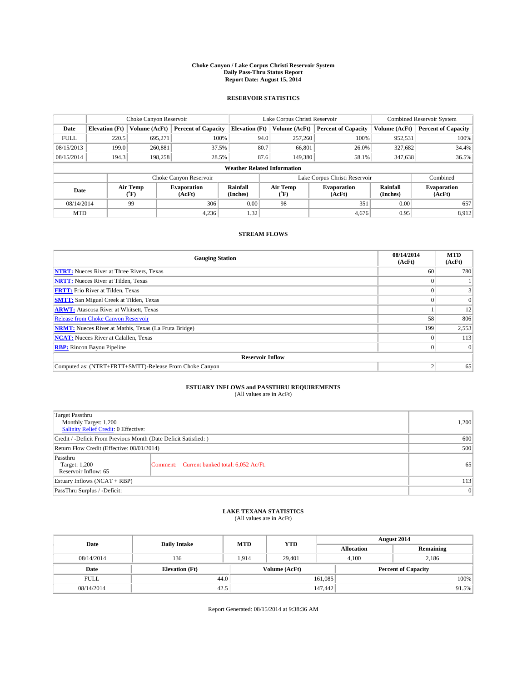#### **Choke Canyon / Lake Corpus Christi Reservoir System Daily Pass-Thru Status Report Report Date: August 15, 2014**

### **RESERVOIR STATISTICS**

|             | Choke Canyon Reservoir   |               | Lake Corpus Christi Reservoir |                                    |                                 |               | <b>Combined Reservoir System</b> |                      |                              |
|-------------|--------------------------|---------------|-------------------------------|------------------------------------|---------------------------------|---------------|----------------------------------|----------------------|------------------------------|
| Date        | <b>Elevation</b> (Ft)    | Volume (AcFt) | <b>Percent of Capacity</b>    | <b>Elevation (Ft)</b>              |                                 | Volume (AcFt) | <b>Percent of Capacity</b>       | Volume (AcFt)        | <b>Percent of Capacity</b>   |
| <b>FULL</b> | 220.5                    | 695.271       | 100%                          |                                    | 94.0                            | 257,260       | 100%                             | 952,531              | 100%                         |
| 08/15/2013  | 199.0                    | 260,881       | 37.5%                         |                                    | 80.7                            | 66,801        | 26.0%                            | 327,682              | 34.4%                        |
| 08/15/2014  | 194.3                    | 198,258       | 28.5%                         |                                    | 87.6                            | 149,380       | 58.1%                            | 347,638              | 36.5%                        |
|             |                          |               |                               | <b>Weather Related Information</b> |                                 |               |                                  |                      |                              |
|             |                          |               | Choke Canyon Reservoir        |                                    |                                 | Combined      |                                  |                      |                              |
|             | Air Temp<br>Date<br>(°F) |               | <b>Evaporation</b><br>(AcFt)  | Rainfall<br>(Inches)               | Air Temp<br>(AcFt)<br>$(^{0}F)$ |               | <b>Evaporation</b>               | Rainfall<br>(Inches) | <b>Evaporation</b><br>(AcFt) |
| 08/14/2014  |                          | 99            | 306                           | 0.00                               | 98                              |               | 351                              | 0.00                 | 657                          |
| <b>MTD</b>  |                          |               | 4,236                         | 1.32                               |                                 |               | 4,676                            | 0.95                 | 8,912                        |

### **STREAM FLOWS**

| <b>Gauging Station</b>                                       | 08/14/2014<br>(AcFt) | <b>MTD</b><br>(AcFt) |
|--------------------------------------------------------------|----------------------|----------------------|
| <b>NTRT:</b> Nueces River at Three Rivers, Texas             | 60                   | 780                  |
| <b>NRTT:</b> Nueces River at Tilden, Texas                   |                      |                      |
| <b>FRTT:</b> Frio River at Tilden, Texas                     |                      |                      |
| <b>SMTT:</b> San Miguel Creek at Tilden, Texas               |                      | $\Omega$             |
| <b>ARWT:</b> Atascosa River at Whitsett, Texas               |                      | 12                   |
| <b>Release from Choke Canyon Reservoir</b>                   | 58                   | 806                  |
| <b>NRMT:</b> Nueces River at Mathis, Texas (La Fruta Bridge) | 199                  | 2,553                |
| <b>NCAT:</b> Nueces River at Calallen, Texas                 |                      | 113                  |
| <b>RBP:</b> Rincon Bayou Pipeline                            | 0                    | $\Omega$             |
| <b>Reservoir Inflow</b>                                      |                      |                      |
| Computed as: (NTRT+FRTT+SMTT)-Release From Choke Canyon      | h                    | 65                   |

# **ESTUARY INFLOWS and PASSTHRU REQUIREMENTS**<br>(All values are in AcFt)

| Target Passthru<br>Monthly Target: 1,200<br>Salinity Relief Credit: 0 Effective: |                                             |    |  |  |
|----------------------------------------------------------------------------------|---------------------------------------------|----|--|--|
| Credit / -Deficit From Previous Month (Date Deficit Satisfied: )                 |                                             |    |  |  |
| Return Flow Credit (Effective: 08/01/2014)                                       |                                             |    |  |  |
| Passthru<br>Target: 1,200<br>Reservoir Inflow: 65                                | Comment: Current banked total: 6,052 Ac/Ft. | 65 |  |  |
| Estuary Inflows (NCAT + RBP)                                                     |                                             |    |  |  |
| PassThru Surplus / -Deficit:                                                     |                                             |    |  |  |

## **LAKE TEXANA STATISTICS** (All values are in AcFt)

| Date        | <b>Daily Intake</b>   | <b>MTD</b> | <b>YTD</b>    | August 2014       |                            |           |      |
|-------------|-----------------------|------------|---------------|-------------------|----------------------------|-----------|------|
|             |                       |            |               | <b>Allocation</b> |                            | Remaining |      |
| 08/14/2014  | 136                   | 1,914      | 29,401        |                   | 2,186<br>4,100             |           |      |
| Date        | <b>Elevation</b> (Ft) |            | Volume (AcFt) |                   | <b>Percent of Capacity</b> |           |      |
| <b>FULL</b> | 44.0                  |            |               | 161,085           |                            |           | 100% |
| 08/14/2014  | 42.5                  |            |               | 147,442           |                            | 91.5%     |      |

Report Generated: 08/15/2014 at 9:38:36 AM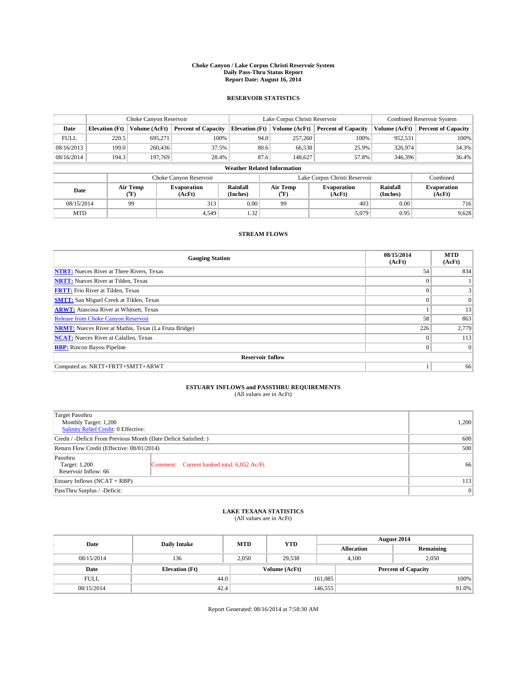#### **Choke Canyon / Lake Corpus Christi Reservoir System Daily Pass-Thru Status Report Report Date: August 16, 2014**

### **RESERVOIR STATISTICS**

|             |                                    | Choke Canyon Reservoir |                              |                       | Lake Corpus Christi Reservoir | <b>Combined Reservoir System</b> |               |                              |  |
|-------------|------------------------------------|------------------------|------------------------------|-----------------------|-------------------------------|----------------------------------|---------------|------------------------------|--|
| Date        | <b>Elevation</b> (Ft)              | Volume (AcFt)          | <b>Percent of Capacity</b>   | <b>Elevation (Ft)</b> | Volume (AcFt)                 | <b>Percent of Capacity</b>       | Volume (AcFt) | Percent of Capacity          |  |
| <b>FULL</b> | 220.5                              | 695,271                | 100%                         | 94.0                  | 257,260                       | 100%                             | 952,531       | 100%                         |  |
| 08/16/2013  | 199.0                              | 260,436                | 37.5%                        | 80.6                  | 66,538                        | 25.9%                            | 326,974       | 34.3%                        |  |
| 08/16/2014  | 194.3                              | 197,769                | 28.4%                        | 87.6                  | 148,627                       | 57.8%                            | 346,396       | $36.4\%$                     |  |
|             | <b>Weather Related Information</b> |                        |                              |                       |                               |                                  |               |                              |  |
|             |                                    |                        | Choke Canyon Reservoir       |                       |                               | Lake Corpus Christi Reservoir    |               | Combined                     |  |
| Date        |                                    | Air Temp<br>(°F)       | <b>Evaporation</b><br>(AcFt) | Rainfall<br>(Inches)  | Air Temp<br>("F)              | <b>Evaporation</b><br>(AcFt)     |               | <b>Evaporation</b><br>(AcFt) |  |
|             | 08/15/2014<br>99<br>313            |                        | 0.00                         | 99                    | 403                           | 0.00                             | 716           |                              |  |
| <b>MTD</b>  |                                    |                        | 4.549                        | 1.32                  |                               | 5,079                            | 0.95          | 9,628                        |  |

### **STREAM FLOWS**

| <b>Gauging Station</b>                                       | 08/15/2014<br>(AcFt) | <b>MTD</b><br>(AcFt) |  |  |  |  |
|--------------------------------------------------------------|----------------------|----------------------|--|--|--|--|
| <b>NTRT:</b> Nueces River at Three Rivers, Texas             | 54                   | 834                  |  |  |  |  |
| <b>NRTT:</b> Nueces River at Tilden, Texas                   |                      |                      |  |  |  |  |
| <b>FRTT:</b> Frio River at Tilden, Texas                     |                      | 3                    |  |  |  |  |
| <b>SMTT:</b> San Miguel Creek at Tilden, Texas               |                      | $\Omega$             |  |  |  |  |
| <b>ARWT:</b> Atascosa River at Whitsett, Texas               |                      | 13                   |  |  |  |  |
| Release from Choke Canyon Reservoir                          | 58                   | 863                  |  |  |  |  |
| <b>NRMT:</b> Nueces River at Mathis, Texas (La Fruta Bridge) | 226                  | 2,779                |  |  |  |  |
| <b>NCAT:</b> Nueces River at Calallen, Texas                 | $\theta$             | 113                  |  |  |  |  |
| <b>RBP:</b> Rincon Bayou Pipeline                            | $\theta$             | $\Omega$             |  |  |  |  |
| <b>Reservoir Inflow</b>                                      |                      |                      |  |  |  |  |
| Computed as: NRTT+FRTT+SMTT+ARWT                             |                      | 66                   |  |  |  |  |

# **ESTUARY INFLOWS and PASSTHRU REQUIREMENTS**<br>(All values are in AcFt)

| Target Passthru<br>Monthly Target: 1,200<br>Salinity Relief Credit: 0 Effective: |                                             | 1,200 |
|----------------------------------------------------------------------------------|---------------------------------------------|-------|
| Credit / -Deficit From Previous Month (Date Deficit Satisfied: )                 | 600                                         |       |
| Return Flow Credit (Effective: 08/01/2014)                                       |                                             | 500   |
| Passthru<br>Target: 1,200<br>Reservoir Inflow: 66                                | Comment: Current banked total: 6,052 Ac/Ft. | 66    |
| Estuary Inflows (NCAT + RBP)                                                     |                                             | 113   |
| PassThru Surplus / -Deficit:                                                     | 0                                           |       |

## **LAKE TEXANA STATISTICS** (All values are in AcFt)

| Date        | <b>Daily Intake</b>   | <b>MTD</b> | <b>YTD</b>    | August 2014       |                            |           |
|-------------|-----------------------|------------|---------------|-------------------|----------------------------|-----------|
|             |                       |            |               | <b>Allocation</b> |                            | Remaining |
| 08/15/2014  | 136                   | 2,050      | 29.538        | 4,100             |                            | 2,050     |
| Date        | <b>Elevation</b> (Ft) |            | Volume (AcFt) |                   | <b>Percent of Capacity</b> |           |
| <b>FULL</b> | 44.0                  |            |               | 161,085           |                            | 100%      |
| 08/15/2014  | 42.4                  |            |               | 146,555           |                            | 91.0%     |

Report Generated: 08/16/2014 at 7:58:30 AM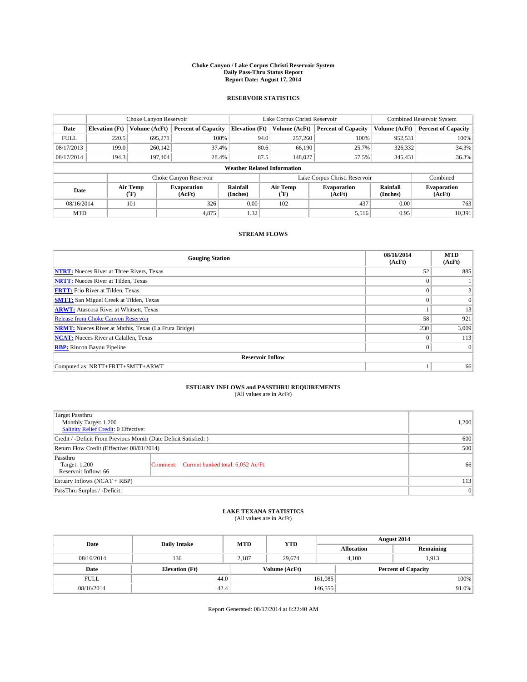#### **Choke Canyon / Lake Corpus Christi Reservoir System Daily Pass-Thru Status Report Report Date: August 17, 2014**

### **RESERVOIR STATISTICS**

|             |                                    | Choke Canyon Reservoir |                              |                       | Lake Corpus Christi Reservoir | <b>Combined Reservoir System</b> |               |                              |  |
|-------------|------------------------------------|------------------------|------------------------------|-----------------------|-------------------------------|----------------------------------|---------------|------------------------------|--|
| Date        | <b>Elevation</b> (Ft)              | Volume (AcFt)          | <b>Percent of Capacity</b>   | <b>Elevation (Ft)</b> | Volume (AcFt)                 | <b>Percent of Capacity</b>       | Volume (AcFt) | <b>Percent of Capacity</b>   |  |
| <b>FULL</b> | 220.5                              | 695,271                | 100%                         | 94.0                  | 257,260                       | 100%                             | 952,531       | 100%                         |  |
| 08/17/2013  | 199.0                              | 260,142                | 37.4%                        | 80.6                  | 66,190                        | 25.7%                            | 326,332       | 34.3%                        |  |
| 08/17/2014  | 194.3                              | 197,404                | 28.4%                        | 87.5                  | 148,027                       | 57.5%                            | 345,431       | 36.3%                        |  |
|             | <b>Weather Related Information</b> |                        |                              |                       |                               |                                  |               |                              |  |
|             |                                    |                        | Choke Canyon Reservoir       |                       |                               | Lake Corpus Christi Reservoir    |               | Combined                     |  |
| Date        | Air Temp<br>(°F)                   |                        | <b>Evaporation</b><br>(AcFt) | Rainfall<br>(Inches)  | Air Temp<br>(°F)              | <b>Evaporation</b><br>(AcFt)     |               | <b>Evaporation</b><br>(AcFt) |  |
| 08/16/2014  | 101<br>326                         |                        | 0.00                         | 102                   | 437                           | 0.00                             | 763           |                              |  |
| <b>MTD</b>  |                                    |                        | 4,875                        | 1.32                  |                               | 5,516                            | 0.95          | 10,391                       |  |

### **STREAM FLOWS**

| <b>Gauging Station</b>                                       | 08/16/2014<br>(AcFt) | <b>MTD</b><br>(AcFt) |  |  |  |  |  |
|--------------------------------------------------------------|----------------------|----------------------|--|--|--|--|--|
| <b>NTRT:</b> Nueces River at Three Rivers, Texas             | 52                   | 885                  |  |  |  |  |  |
| <b>NRTT:</b> Nueces River at Tilden, Texas                   | $\theta$             |                      |  |  |  |  |  |
| <b>FRTT:</b> Frio River at Tilden, Texas                     |                      |                      |  |  |  |  |  |
| <b>SMTT:</b> San Miguel Creek at Tilden, Texas               | $\theta$             | $\overline{0}$       |  |  |  |  |  |
| <b>ARWT:</b> Atascosa River at Whitsett, Texas               |                      | 13                   |  |  |  |  |  |
| <b>Release from Choke Canyon Reservoir</b>                   | 58                   | 921                  |  |  |  |  |  |
| <b>NRMT:</b> Nueces River at Mathis, Texas (La Fruta Bridge) | 230                  | 3,009                |  |  |  |  |  |
| <b>NCAT:</b> Nueces River at Calallen, Texas                 | $\theta$             | 113                  |  |  |  |  |  |
| <b>RBP:</b> Rincon Bayou Pipeline                            | $\theta$             | $\Omega$             |  |  |  |  |  |
| <b>Reservoir Inflow</b>                                      |                      |                      |  |  |  |  |  |
| Computed as: NRTT+FRTT+SMTT+ARWT                             |                      | 66                   |  |  |  |  |  |

# **ESTUARY INFLOWS and PASSTHRU REQUIREMENTS**<br>(All values are in AcFt)

| Target Passthru<br>Monthly Target: 1,200<br>Salinity Relief Credit: 0 Effective: |                                             | 1,200 |
|----------------------------------------------------------------------------------|---------------------------------------------|-------|
| Credit / -Deficit From Previous Month (Date Deficit Satisfied: )                 | 600                                         |       |
| Return Flow Credit (Effective: 08/01/2014)                                       |                                             | 500   |
| Passthru<br>Target: 1,200<br>Reservoir Inflow: 66                                | Comment: Current banked total: 6,052 Ac/Ft. | 66    |
| Estuary Inflows (NCAT + RBP)                                                     |                                             | 113   |
| PassThru Surplus / -Deficit:                                                     |                                             | 0     |

# **LAKE TEXANA STATISTICS** (All values are in AcFt)

| Date        | <b>Daily Intake</b>   | <b>MTD</b> | <b>YTD</b>    | August 2014 |                            |           |
|-------------|-----------------------|------------|---------------|-------------|----------------------------|-----------|
|             |                       |            |               |             | <b>Allocation</b>          | Remaining |
| 08/16/2014  | 136                   | 2,187      | 29,674        |             | 4,100<br>1,913             |           |
| Date        | <b>Elevation</b> (Ft) |            | Volume (AcFt) |             | <b>Percent of Capacity</b> |           |
| <b>FULL</b> | 44.0                  |            |               | 161,085     |                            | 100%      |
| 08/16/2014  | 42.4                  |            |               | 146,555     |                            | 91.0%     |

Report Generated: 08/17/2014 at 8:22:40 AM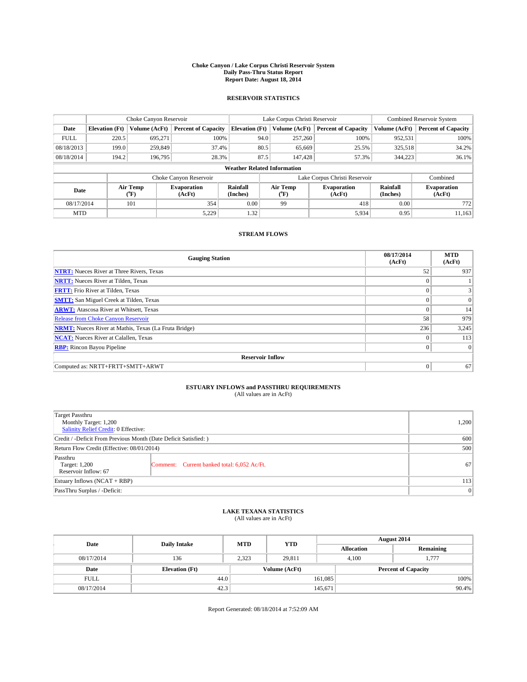#### **Choke Canyon / Lake Corpus Christi Reservoir System Daily Pass-Thru Status Report Report Date: August 18, 2014**

### **RESERVOIR STATISTICS**

|             |                                    | Choke Canyon Reservoir |                              |                       | Lake Corpus Christi Reservoir | Combined Reservoir System     |               |                              |  |
|-------------|------------------------------------|------------------------|------------------------------|-----------------------|-------------------------------|-------------------------------|---------------|------------------------------|--|
| Date        | <b>Elevation</b> (Ft)              | Volume (AcFt)          | <b>Percent of Capacity</b>   | <b>Elevation (Ft)</b> | Volume (AcFt)                 | <b>Percent of Capacity</b>    | Volume (AcFt) | Percent of Capacity          |  |
| <b>FULL</b> | 220.5                              | 695,271                | 100%                         | 94.0                  | 257,260                       | 100%                          | 952,531       | 100%                         |  |
| 08/18/2013  | 199.0                              | 259,849                | 37.4%                        | 80.5                  | 65,669                        | 25.5%                         | 325,518       | $34.2\%$                     |  |
| 08/18/2014  | 194.2                              | 196,795                | 28.3%                        | 87.5                  | 147.428                       | 57.3%                         | 344,223       | $36.1\%$                     |  |
|             | <b>Weather Related Information</b> |                        |                              |                       |                               |                               |               |                              |  |
|             |                                    |                        | Choke Canyon Reservoir       |                       |                               | Lake Corpus Christi Reservoir |               | Combined                     |  |
| Date        | Air Temp<br>(°F)                   |                        | <b>Evaporation</b><br>(AcFt) | Rainfall<br>(Inches)  | Air Temp<br>("F)              | <b>Evaporation</b><br>(AcFt)  |               | <b>Evaporation</b><br>(AcFt) |  |
|             | 08/17/2014<br>101                  |                        | 354                          | 0.00                  | 99                            | 418                           | 0.00          | 772                          |  |
| <b>MTD</b>  |                                    |                        | 5,229                        | 1.32                  |                               | 5,934                         | 0.95          | 11,163                       |  |

### **STREAM FLOWS**

| <b>Gauging Station</b>                                       | 08/17/2014<br>(AcFt) | <b>MTD</b><br>(AcFt) |  |  |  |  |
|--------------------------------------------------------------|----------------------|----------------------|--|--|--|--|
| <b>NTRT:</b> Nueces River at Three Rivers, Texas             | 52                   | 937                  |  |  |  |  |
| <b>NRTT:</b> Nueces River at Tilden, Texas                   |                      |                      |  |  |  |  |
| <b>FRTT:</b> Frio River at Tilden, Texas                     |                      |                      |  |  |  |  |
| <b>SMTT:</b> San Miguel Creek at Tilden, Texas               |                      | $\overline{0}$       |  |  |  |  |
| <b>ARWT:</b> Atascosa River at Whitsett, Texas               | $\theta$             | 14                   |  |  |  |  |
| <b>Release from Choke Canyon Reservoir</b>                   | 58                   | 979                  |  |  |  |  |
| <b>NRMT:</b> Nueces River at Mathis, Texas (La Fruta Bridge) | 236                  | 3,245                |  |  |  |  |
| <b>NCAT:</b> Nueces River at Calallen, Texas                 | $\theta$             | 113                  |  |  |  |  |
| <b>RBP:</b> Rincon Bayou Pipeline                            | $\Omega$             | $\Omega$             |  |  |  |  |
| <b>Reservoir Inflow</b>                                      |                      |                      |  |  |  |  |
| Computed as: NRTT+FRTT+SMTT+ARWT                             | $\Omega$             | 67                   |  |  |  |  |

# **ESTUARY INFLOWS and PASSTHRU REQUIREMENTS**<br>(All values are in AcFt)

| Target Passthru<br>Monthly Target: 1,200<br>Salinity Relief Credit: 0 Effective: |                                             | 1,200 |
|----------------------------------------------------------------------------------|---------------------------------------------|-------|
| Credit / -Deficit From Previous Month (Date Deficit Satisfied: )                 | 600                                         |       |
| Return Flow Credit (Effective: 08/01/2014)                                       |                                             | 500   |
| Passthru<br>Target: 1,200<br>Reservoir Inflow: 67                                | Comment: Current banked total: 6,052 Ac/Ft. | 67    |
| Estuary Inflows (NCAT + RBP)                                                     |                                             | 113   |
| PassThru Surplus / -Deficit:                                                     | 0                                           |       |

## **LAKE TEXANA STATISTICS** (All values are in AcFt)

| Date        | <b>Daily Intake</b>   | <b>MTD</b> | <b>YTD</b>    | August 2014       |                            |  |
|-------------|-----------------------|------------|---------------|-------------------|----------------------------|--|
|             |                       |            |               | <b>Allocation</b> | Remaining                  |  |
| 08/17/2014  | 136                   | 2,323      | 29,811        | 4,100             | 1,777                      |  |
| Date        | <b>Elevation</b> (Ft) |            | Volume (AcFt) |                   | <b>Percent of Capacity</b> |  |
| <b>FULL</b> | 44.0                  |            |               | 161,085           | 100%                       |  |
| 08/17/2014  | 42.3                  |            |               | 145,671           | 90.4%                      |  |

Report Generated: 08/18/2014 at 7:52:09 AM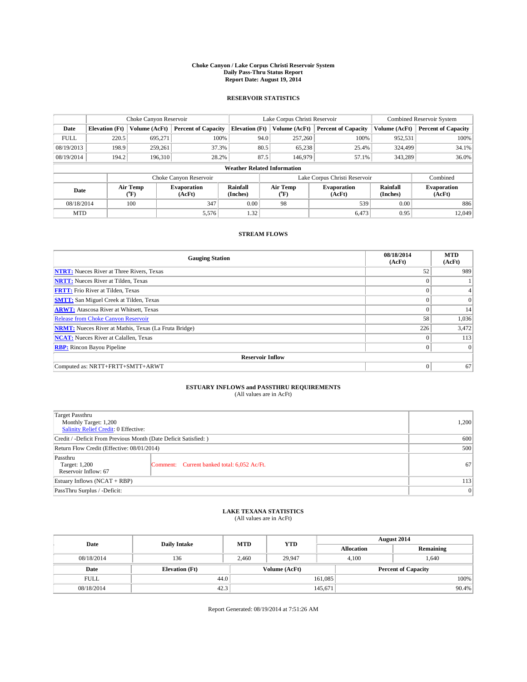#### **Choke Canyon / Lake Corpus Christi Reservoir System Daily Pass-Thru Status Report Report Date: August 19, 2014**

### **RESERVOIR STATISTICS**

|             |                                                                                                      | Choke Canyon Reservoir |                              |                                    | Lake Corpus Christi Reservoir | <b>Combined Reservoir System</b> |               |                     |
|-------------|------------------------------------------------------------------------------------------------------|------------------------|------------------------------|------------------------------------|-------------------------------|----------------------------------|---------------|---------------------|
| Date        | <b>Elevation</b> (Ft)                                                                                | Volume (AcFt)          | <b>Percent of Capacity</b>   | <b>Elevation</b> (Ft)              | Volume (AcFt)                 | <b>Percent of Capacity</b>       | Volume (AcFt) | Percent of Capacity |
| <b>FULL</b> | 220.5                                                                                                | 695.271                | 100%                         | 94.0                               | 257,260                       | 100%                             | 952,531       | 100%                |
| 08/19/2013  | 198.9                                                                                                | 259,261                | 37.3%                        | 80.5                               | 65,238                        | 25.4%                            | 324,499       | $34.1\%$            |
| 08/19/2014  | 194.2                                                                                                | 196.310                | 28.2%                        | 87.5                               | 146,979                       | 57.1%                            | 343.289       | $36.0\%$            |
|             |                                                                                                      |                        |                              | <b>Weather Related Information</b> |                               |                                  |               |                     |
|             |                                                                                                      |                        | Choke Canyon Reservoir       |                                    |                               | Lake Corpus Christi Reservoir    |               | Combined            |
|             | Rainfall<br>Air Temp<br>Air Temp<br><b>Evaporation</b><br>Date<br>(Inches)<br>(°F)<br>(AcFt)<br>(°F) |                        | <b>Evaporation</b><br>(AcFt) | Rainfall<br>(Inches)               | <b>Evaporation</b><br>(AcFt)  |                                  |               |                     |
| 08/18/2014  |                                                                                                      | 100                    | 347                          | 0.00                               | 539<br>98                     |                                  | 0.00          | 886                 |
| <b>MTD</b>  |                                                                                                      |                        | 5,576                        | 1.32                               |                               | 6.473                            | 0.95          | 12,049              |

### **STREAM FLOWS**

| <b>Gauging Station</b>                                       | 08/18/2014<br>(AcFt) | <b>MTD</b><br>(AcFt) |
|--------------------------------------------------------------|----------------------|----------------------|
| <b>NTRT:</b> Nueces River at Three Rivers, Texas             | 52                   | 989                  |
| <b>NRTT:</b> Nueces River at Tilden, Texas                   | $\theta$             |                      |
| <b>FRTT:</b> Frio River at Tilden, Texas                     |                      |                      |
| <b>SMTT:</b> San Miguel Creek at Tilden, Texas               | $\theta$             | $\overline{0}$       |
| <b>ARWT:</b> Atascosa River at Whitsett, Texas               | $\theta$             | 14                   |
| <b>Release from Choke Canyon Reservoir</b>                   | 58                   | 1,036                |
| <b>NRMT:</b> Nueces River at Mathis, Texas (La Fruta Bridge) | 226                  | 3,472                |
| <b>NCAT:</b> Nueces River at Calallen, Texas                 | $\theta$             | 113                  |
| <b>RBP:</b> Rincon Bayou Pipeline                            | $\Omega$             | $\Omega$             |
| <b>Reservoir Inflow</b>                                      |                      |                      |
| Computed as: NRTT+FRTT+SMTT+ARWT                             | $\Omega$             | 67                   |

# **ESTUARY INFLOWS and PASSTHRU REQUIREMENTS**<br>(All values are in AcFt)

| Target Passthru<br>Monthly Target: 1,200<br>Salinity Relief Credit: 0 Effective: |                                             | 1,200 |  |  |
|----------------------------------------------------------------------------------|---------------------------------------------|-------|--|--|
| Credit / -Deficit From Previous Month (Date Deficit Satisfied: )                 |                                             |       |  |  |
| Return Flow Credit (Effective: 08/01/2014)                                       |                                             |       |  |  |
| Passthru<br>Target: 1,200<br>Reservoir Inflow: 67                                | Comment: Current banked total: 6,052 Ac/Ft. | 67    |  |  |
| Estuary Inflows (NCAT + RBP)                                                     |                                             |       |  |  |
| PassThru Surplus / -Deficit:                                                     | 0                                           |       |  |  |

# **LAKE TEXANA STATISTICS** (All values are in AcFt)

| Date        | <b>Daily Intake</b>   | <b>MTD</b> | <b>YTD</b>    | August 2014                |                |           |       |
|-------------|-----------------------|------------|---------------|----------------------------|----------------|-----------|-------|
|             |                       |            |               | <b>Allocation</b>          |                | Remaining |       |
| 08/18/2014  | 136                   | 2,460      | 29.947        |                            | 1,640<br>4,100 |           |       |
| Date        | <b>Elevation</b> (Ft) |            | Volume (AcFt) | <b>Percent of Capacity</b> |                |           |       |
| <b>FULL</b> | 44.0                  |            |               | 161,085                    |                |           | 100%  |
| 08/18/2014  | 42.3                  |            |               | 145,671                    |                |           | 90.4% |

Report Generated: 08/19/2014 at 7:51:26 AM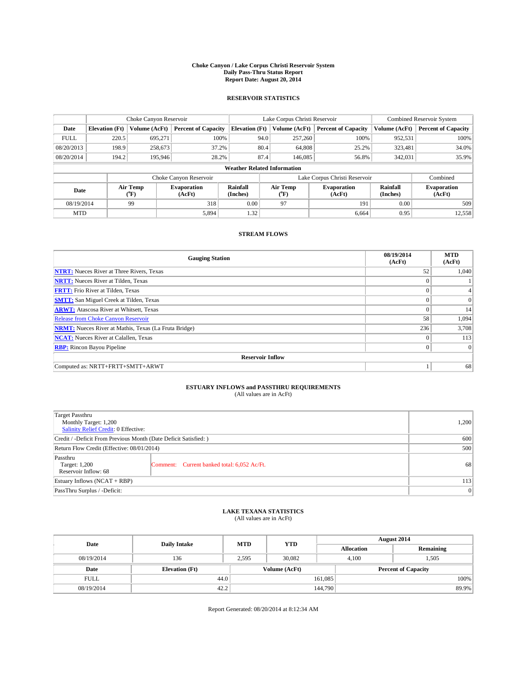#### **Choke Canyon / Lake Corpus Christi Reservoir System Daily Pass-Thru Status Report Report Date: August 20, 2014**

### **RESERVOIR STATISTICS**

|                                                          |                       | Choke Canyon Reservoir |                            | Lake Corpus Christi Reservoir |                                    |                               |                              | <b>Combined Reservoir System</b> |                     |  |
|----------------------------------------------------------|-----------------------|------------------------|----------------------------|-------------------------------|------------------------------------|-------------------------------|------------------------------|----------------------------------|---------------------|--|
| Date                                                     | <b>Elevation</b> (Ft) | Volume (AcFt)          | <b>Percent of Capacity</b> | <b>Elevation (Ft)</b>         | Volume (AcFt)                      | <b>Percent of Capacity</b>    |                              | Volume (AcFt)                    | Percent of Capacity |  |
| <b>FULL</b>                                              | 220.5                 | 695,271                | 100%                       |                               | 94.0<br>257,260                    |                               | 100%                         | 952,531                          | 100%                |  |
| 08/20/2013                                               | 198.9                 | 258,673                | 37.2%                      |                               | 80.4<br>64,808                     |                               | 25.2%                        | 323,481                          | $34.0\%$            |  |
| 08/20/2014                                               | 194.2                 | 195,946                | 28.2%                      |                               | 87.4<br>146,085                    |                               | 56.8%                        | 342,031                          | 35.9%               |  |
|                                                          |                       |                        |                            |                               | <b>Weather Related Information</b> |                               |                              |                                  |                     |  |
|                                                          |                       |                        | Choke Canyon Reservoir     |                               |                                    | Lake Corpus Christi Reservoir |                              |                                  | Combined            |  |
| Air Temp<br><b>Evaporation</b><br>Date<br>(AcFt)<br>(°F) |                       | Rainfall<br>(Inches)   | Air Temp<br>("F)           |                               | <b>Evaporation</b><br>(AcFt)       |                               | <b>Evaporation</b><br>(AcFt) |                                  |                     |  |
| 08/19/2014                                               |                       | 99                     | 318                        | 0.00                          | 97<br>191                          |                               | 0.00                         | 509                              |                     |  |
| <b>MTD</b>                                               |                       |                        | 5,894                      | 1.32                          |                                    |                               | 6.664                        | 0.95                             | 12,558              |  |

### **STREAM FLOWS**

| <b>Gauging Station</b>                                       | 08/19/2014<br>(AcFt) | <b>MTD</b><br>(AcFt) |
|--------------------------------------------------------------|----------------------|----------------------|
| <b>NTRT:</b> Nueces River at Three Rivers, Texas             | 52                   | 1,040                |
| <b>NRTT:</b> Nueces River at Tilden, Texas                   | $\theta$             |                      |
| <b>FRTT:</b> Frio River at Tilden, Texas                     | $\theta$             | $\overline{4}$       |
| <b>SMTT:</b> San Miguel Creek at Tilden, Texas               | $\theta$             | $\overline{0}$       |
| <b>ARWT:</b> Atascosa River at Whitsett, Texas               | $\Omega$             | 14                   |
| Release from Choke Canyon Reservoir                          | 58                   | 1,094                |
| <b>NRMT:</b> Nueces River at Mathis, Texas (La Fruta Bridge) | 236                  | 3,708                |
| <b>NCAT:</b> Nueces River at Calallen, Texas                 | $\Omega$             | 113                  |
| <b>RBP:</b> Rincon Bayou Pipeline                            | $\Omega$             | $\Omega$             |
| <b>Reservoir Inflow</b>                                      |                      |                      |
| Computed as: NRTT+FRTT+SMTT+ARWT                             |                      | 68                   |

# **ESTUARY INFLOWS and PASSTHRU REQUIREMENTS**<br>(All values are in AcFt)

| Target Passthru<br>Monthly Target: 1,200<br>Salinity Relief Credit: 0 Effective: |                                             | 1,200 |  |  |
|----------------------------------------------------------------------------------|---------------------------------------------|-------|--|--|
| Credit / -Deficit From Previous Month (Date Deficit Satisfied: )                 |                                             |       |  |  |
| Return Flow Credit (Effective: 08/01/2014)                                       | 500                                         |       |  |  |
| Passthru<br>Target: 1,200<br>Reservoir Inflow: 68                                | Comment: Current banked total: 6,052 Ac/Ft. | 68    |  |  |
| Estuary Inflows (NCAT + RBP)                                                     |                                             |       |  |  |
| PassThru Surplus / -Deficit:                                                     | 0                                           |       |  |  |

## **LAKE TEXANA STATISTICS** (All values are in AcFt)

| Date        | <b>Daily Intake</b>   | <b>MTD</b> | <b>YTD</b>    | August 2014       |                            |           |  |
|-------------|-----------------------|------------|---------------|-------------------|----------------------------|-----------|--|
|             |                       |            |               | <b>Allocation</b> |                            | Remaining |  |
| 08/19/2014  | 136                   | 2.595      | 30.082        |                   | 1,505<br>4.100             |           |  |
| Date        | <b>Elevation</b> (Ft) |            | Volume (AcFt) |                   | <b>Percent of Capacity</b> |           |  |
| <b>FULL</b> | 44.0                  |            |               | 161,085           |                            | 100%      |  |
| 08/19/2014  | 42.2                  |            |               | 144,790           |                            | 89.9%     |  |

Report Generated: 08/20/2014 at 8:12:34 AM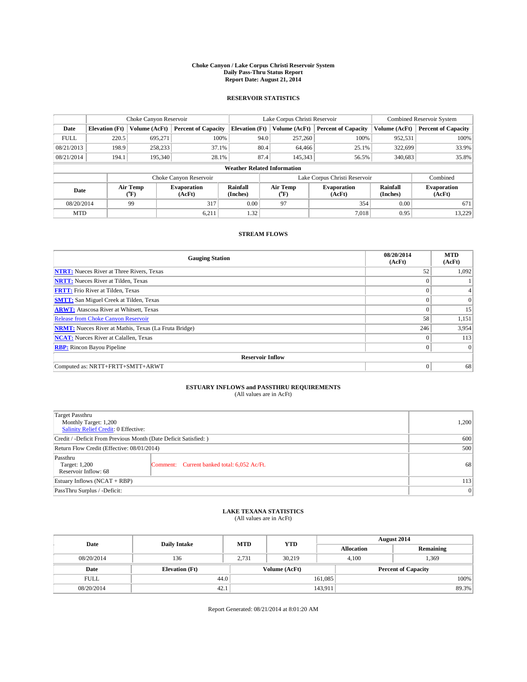#### **Choke Canyon / Lake Corpus Christi Reservoir System Daily Pass-Thru Status Report Report Date: August 21, 2014**

### **RESERVOIR STATISTICS**

|             |                       | Choke Canyon Reservoir                                                                                                            |                            |                                    | Lake Corpus Christi Reservoir | <b>Combined Reservoir System</b> |               |                            |
|-------------|-----------------------|-----------------------------------------------------------------------------------------------------------------------------------|----------------------------|------------------------------------|-------------------------------|----------------------------------|---------------|----------------------------|
| Date        | <b>Elevation</b> (Ft) | Volume (AcFt)                                                                                                                     | <b>Percent of Capacity</b> | <b>Elevation (Ft)</b>              | Volume (AcFt)                 | <b>Percent of Capacity</b>       | Volume (AcFt) | <b>Percent of Capacity</b> |
| <b>FULL</b> | 220.5                 | 695,271                                                                                                                           | 100%                       | 94.0                               | 257,260                       | 100%                             | 952,531       | 100%                       |
| 08/21/2013  | 198.9                 | 258,233                                                                                                                           | 37.1%                      | 80.4                               | 64,466                        | 25.1%                            | 322,699       | 33.9%                      |
| 08/21/2014  | 194.1                 | 195,340                                                                                                                           | 28.1%                      | 87.4                               | 145,343                       | 56.5%                            | 340,683       | 35.8%                      |
|             |                       |                                                                                                                                   |                            | <b>Weather Related Information</b> |                               |                                  |               |                            |
|             |                       |                                                                                                                                   | Choke Canyon Reservoir     |                                    |                               | Lake Corpus Christi Reservoir    |               | Combined                   |
| Date        |                       | Rainfall<br>Air Temp<br>Air Temp<br><b>Evaporation</b><br><b>Evaporation</b><br>(Inches)<br>(°F)<br>(AcFt)<br>(AcFt)<br>$(^{0}F)$ |                            |                                    | Rainfall<br>(Inches)          | <b>Evaporation</b><br>(AcFt)     |               |                            |
| 08/20/2014  |                       | 99                                                                                                                                | 317                        | 0.00                               | 97<br>354                     |                                  | 0.00          | 671                        |
| <b>MTD</b>  |                       |                                                                                                                                   | 6,211                      | 1.32                               |                               | 7,018                            | 0.95          | 13,229                     |

### **STREAM FLOWS**

| <b>Gauging Station</b>                                       | 08/20/2014<br>(AcFt) | <b>MTD</b><br>(AcFt) |
|--------------------------------------------------------------|----------------------|----------------------|
| <b>NTRT:</b> Nueces River at Three Rivers, Texas             | 52                   | 1,092                |
| <b>NRTT:</b> Nueces River at Tilden, Texas                   | $\theta$             |                      |
| <b>FRTT:</b> Frio River at Tilden, Texas                     |                      |                      |
| <b>SMTT:</b> San Miguel Creek at Tilden, Texas               | $\theta$             | $\Omega$             |
| <b>ARWT:</b> Atascosa River at Whitsett, Texas               | $\theta$             | 15                   |
| <b>Release from Choke Canyon Reservoir</b>                   | 58                   | 1,151                |
| <b>NRMT:</b> Nueces River at Mathis, Texas (La Fruta Bridge) | 246                  | 3,954                |
| <b>NCAT:</b> Nueces River at Calallen, Texas                 | $\theta$             | 113                  |
| <b>RBP:</b> Rincon Bayou Pipeline                            | $\Omega$             | $\Omega$             |
| <b>Reservoir Inflow</b>                                      |                      |                      |
| Computed as: NRTT+FRTT+SMTT+ARWT                             | $\Omega$             | 68                   |

# **ESTUARY INFLOWS and PASSTHRU REQUIREMENTS**<br>(All values are in AcFt)

| <b>Target Passthru</b><br>Monthly Target: 1,200<br>Salinity Relief Credit: 0 Effective: |                                             | 1,200 |  |  |
|-----------------------------------------------------------------------------------------|---------------------------------------------|-------|--|--|
| Credit / -Deficit From Previous Month (Date Deficit Satisfied: )                        |                                             |       |  |  |
| Return Flow Credit (Effective: 08/01/2014)                                              | 500                                         |       |  |  |
| Passthru<br>Target: 1,200<br>Reservoir Inflow: 68                                       | Comment: Current banked total: 6,052 Ac/Ft. | 68    |  |  |
| Estuary Inflows (NCAT + RBP)                                                            |                                             | 113   |  |  |
| PassThru Surplus / -Deficit:                                                            | 0                                           |       |  |  |

## **LAKE TEXANA STATISTICS** (All values are in AcFt)

| Date        | <b>Daily Intake</b>   | <b>MTD</b> | <b>YTD</b>    | August 2014                |                |           |  |
|-------------|-----------------------|------------|---------------|----------------------------|----------------|-----------|--|
|             |                       |            |               | <b>Allocation</b>          |                | Remaining |  |
| 08/20/2014  | 136                   | 2,731      | 30,219        |                            | 1,369<br>4,100 |           |  |
| Date        | <b>Elevation</b> (Ft) |            | Volume (AcFt) | <b>Percent of Capacity</b> |                |           |  |
| <b>FULL</b> | 44.0                  |            |               | 161,085                    |                | 100%      |  |
| 08/20/2014  | 42.1                  |            |               | 143,911                    |                | 89.3%     |  |

Report Generated: 08/21/2014 at 8:01:20 AM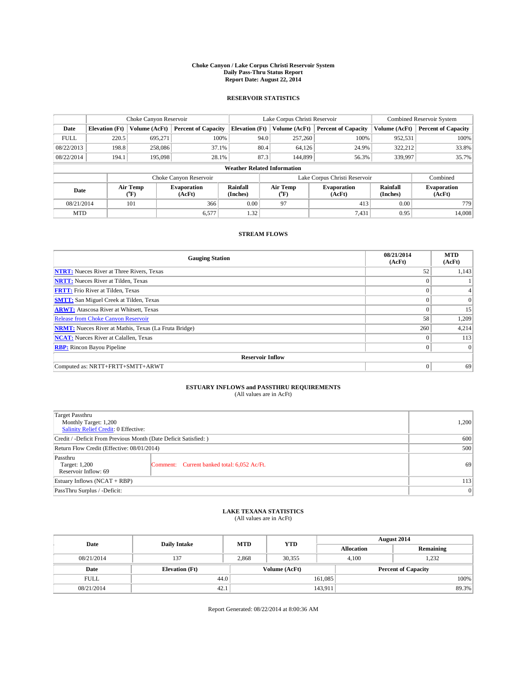#### **Choke Canyon / Lake Corpus Christi Reservoir System Daily Pass-Thru Status Report Report Date: August 22, 2014**

### **RESERVOIR STATISTICS**

|             |                                    | Choke Canyon Reservoir |                              |                       | Lake Corpus Christi Reservoir | Combined Reservoir System     |               |                              |  |
|-------------|------------------------------------|------------------------|------------------------------|-----------------------|-------------------------------|-------------------------------|---------------|------------------------------|--|
| Date        | <b>Elevation</b> (Ft)              | Volume (AcFt)          | <b>Percent of Capacity</b>   | <b>Elevation (Ft)</b> | Volume (AcFt)                 | <b>Percent of Capacity</b>    | Volume (AcFt) | Percent of Capacity          |  |
| <b>FULL</b> | 220.5                              | 695,271                | 100%                         | 94.0                  | 257,260                       | 100%                          | 952,531       | 100%                         |  |
| 08/22/2013  | 198.8                              | 258,086                | 37.1%                        | 80.4                  | 64,126                        | 24.9%                         | 322,212       | 33.8%                        |  |
| 08/22/2014  | 194.1                              | 195,098                | 28.1%                        | 87.3                  | 144,899                       | 56.3%                         | 339,997       | 35.7%                        |  |
|             | <b>Weather Related Information</b> |                        |                              |                       |                               |                               |               |                              |  |
|             |                                    |                        | Choke Canyon Reservoir       |                       |                               | Lake Corpus Christi Reservoir |               | Combined                     |  |
| Date        |                                    | Air Temp<br>(°F)       | <b>Evaporation</b><br>(AcFt) | Rainfall<br>(Inches)  | Air Temp<br>("F)              | <b>Evaporation</b><br>(AcFt)  |               | <b>Evaporation</b><br>(AcFt) |  |
| 08/21/2014  |                                    | 101                    | 366                          | 0.00                  | 97                            | 413                           | 0.00          | 779                          |  |
| <b>MTD</b>  |                                    |                        | 6,577                        | 1.32                  |                               | 7,431                         | 0.95          | 14.008                       |  |

### **STREAM FLOWS**

| <b>Gauging Station</b>                                       | 08/21/2014<br>(AcFt) | <b>MTD</b><br>(AcFt) |  |  |  |  |
|--------------------------------------------------------------|----------------------|----------------------|--|--|--|--|
| <b>NTRT:</b> Nueces River at Three Rivers, Texas             | 52                   | 1,143                |  |  |  |  |
| <b>NRTT:</b> Nueces River at Tilden, Texas                   | $\theta$             |                      |  |  |  |  |
| <b>FRTT:</b> Frio River at Tilden, Texas                     |                      |                      |  |  |  |  |
| <b>SMTT:</b> San Miguel Creek at Tilden, Texas               | $\theta$             | $\overline{0}$       |  |  |  |  |
| <b>ARWT:</b> Atascosa River at Whitsett, Texas               | $\theta$             | 15                   |  |  |  |  |
| <b>Release from Choke Canyon Reservoir</b>                   | 58                   | 1,209                |  |  |  |  |
| <b>NRMT:</b> Nueces River at Mathis, Texas (La Fruta Bridge) | 260                  | 4,214                |  |  |  |  |
| <b>NCAT:</b> Nueces River at Calallen, Texas                 | $\theta$             | 113                  |  |  |  |  |
| <b>RBP:</b> Rincon Bayou Pipeline                            | $\Omega$             | $\Omega$             |  |  |  |  |
| <b>Reservoir Inflow</b>                                      |                      |                      |  |  |  |  |
| Computed as: NRTT+FRTT+SMTT+ARWT                             | $\Omega$             | 69                   |  |  |  |  |

# **ESTUARY INFLOWS and PASSTHRU REQUIREMENTS**<br>(All values are in AcFt)

| Target Passthru<br>Monthly Target: 1,200<br>Salinity Relief Credit: 0 Effective: |                                             | 1,200 |
|----------------------------------------------------------------------------------|---------------------------------------------|-------|
| Credit / -Deficit From Previous Month (Date Deficit Satisfied: )                 | 600                                         |       |
| Return Flow Credit (Effective: 08/01/2014)                                       | 500                                         |       |
| Passthru<br>Target: 1,200<br>Reservoir Inflow: 69                                | Comment: Current banked total: 6,052 Ac/Ft. | 69    |
| Estuary Inflows (NCAT + RBP)                                                     | 113                                         |       |
| PassThru Surplus / -Deficit:                                                     | 0                                           |       |

# **LAKE TEXANA STATISTICS** (All values are in AcFt)

| Date        | <b>Daily Intake</b>   | <b>MTD</b> | <b>YTD</b>    | August 2014       |                            |           |  |
|-------------|-----------------------|------------|---------------|-------------------|----------------------------|-----------|--|
|             |                       |            |               | <b>Allocation</b> |                            | Remaining |  |
| 08/21/2014  | 137                   | 2,868      | 30,355        | 4,100             | 1,232                      |           |  |
| Date        | <b>Elevation</b> (Ft) |            | Volume (AcFt) |                   | <b>Percent of Capacity</b> |           |  |
| <b>FULL</b> | 44.0                  |            |               | 161,085           |                            | 100%      |  |
| 08/21/2014  | 42.1                  |            |               | 143,911           |                            | 89.3%     |  |

Report Generated: 08/22/2014 at 8:00:36 AM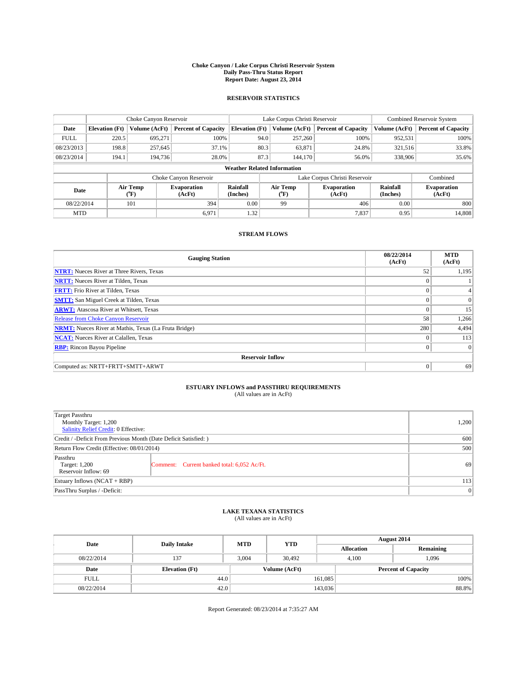#### **Choke Canyon / Lake Corpus Christi Reservoir System Daily Pass-Thru Status Report Report Date: August 23, 2014**

### **RESERVOIR STATISTICS**

|                                                                                  |                                    | Choke Canyon Reservoir |                              |                       | Lake Corpus Christi Reservoir | Combined Reservoir System     |               |                            |  |
|----------------------------------------------------------------------------------|------------------------------------|------------------------|------------------------------|-----------------------|-------------------------------|-------------------------------|---------------|----------------------------|--|
| Date                                                                             | <b>Elevation</b> (Ft)              | Volume (AcFt)          | <b>Percent of Capacity</b>   | <b>Elevation</b> (Ft) | Volume (AcFt)                 | <b>Percent of Capacity</b>    | Volume (AcFt) | <b>Percent of Capacity</b> |  |
| <b>FULL</b>                                                                      | 220.5                              | 695.271                | 100%                         | 94.0                  | 257,260                       | 100%                          | 952,531       | 100%                       |  |
| 08/23/2013                                                                       | 198.8                              | 257,645                | 37.1%                        | 80.3                  | 63,871                        | 24.8%                         | 321,516       | 33.8%                      |  |
| 08/23/2014                                                                       | 194.1                              | 194.736                | 28.0%                        | 87.3                  | 144,170                       | 56.0%                         | 338,906       | 35.6%                      |  |
|                                                                                  | <b>Weather Related Information</b> |                        |                              |                       |                               |                               |               |                            |  |
|                                                                                  |                                    |                        | Choke Canyon Reservoir       |                       |                               | Lake Corpus Christi Reservoir |               | Combined                   |  |
| Rainfall<br>Air Temp<br><b>Evaporation</b><br>Date<br>(Inches)<br>(°F)<br>(AcFt) |                                    | Air Temp<br>(°F)       | <b>Evaporation</b><br>(AcFt) | Rainfall<br>(Inches)  | <b>Evaporation</b><br>(AcFt)  |                               |               |                            |  |
| 08/22/2014                                                                       |                                    | 101                    | 394                          | 0.00                  | 99                            | 406                           | 0.00          | 800                        |  |
| <b>MTD</b>                                                                       |                                    |                        | 6,971                        | 1.32                  |                               | 7,837                         | 0.95          | 14,808                     |  |

### **STREAM FLOWS**

| <b>Gauging Station</b>                                       | 08/22/2014<br>(AcFt) | <b>MTD</b><br>(AcFt) |  |  |  |  |
|--------------------------------------------------------------|----------------------|----------------------|--|--|--|--|
| <b>NTRT:</b> Nueces River at Three Rivers, Texas             | 52                   | 1,195                |  |  |  |  |
| <b>NRTT:</b> Nueces River at Tilden, Texas                   | $\theta$             |                      |  |  |  |  |
| <b>FRTT:</b> Frio River at Tilden, Texas                     |                      |                      |  |  |  |  |
| <b>SMTT:</b> San Miguel Creek at Tilden, Texas               | $\theta$             | $\overline{0}$       |  |  |  |  |
| <b>ARWT:</b> Atascosa River at Whitsett, Texas               | $\theta$             | 15                   |  |  |  |  |
| <b>Release from Choke Canyon Reservoir</b>                   | 58                   | 1,266                |  |  |  |  |
| <b>NRMT:</b> Nueces River at Mathis, Texas (La Fruta Bridge) | 280                  | 4,494                |  |  |  |  |
| <b>NCAT:</b> Nueces River at Calallen, Texas                 | $\theta$             | 113                  |  |  |  |  |
| <b>RBP:</b> Rincon Bayou Pipeline                            | $\theta$             | $\Omega$             |  |  |  |  |
| <b>Reservoir Inflow</b>                                      |                      |                      |  |  |  |  |
| Computed as: NRTT+FRTT+SMTT+ARWT                             | $\Omega$             | 69                   |  |  |  |  |

# **ESTUARY INFLOWS and PASSTHRU REQUIREMENTS**<br>(All values are in AcFt)

| Target Passthru<br>Monthly Target: 1,200<br>Salinity Relief Credit: 0 Effective: |                                             | 1,200 |
|----------------------------------------------------------------------------------|---------------------------------------------|-------|
| Credit / -Deficit From Previous Month (Date Deficit Satisfied: )                 | 600                                         |       |
| Return Flow Credit (Effective: 08/01/2014)                                       | 500                                         |       |
| Passthru<br>Target: 1,200<br>Reservoir Inflow: 69                                | Comment: Current banked total: 6,052 Ac/Ft. | 69    |
| Estuary Inflows (NCAT + RBP)                                                     | 113                                         |       |
| PassThru Surplus / -Deficit:                                                     | 0                                           |       |

# **LAKE TEXANA STATISTICS** (All values are in AcFt)

| Date        | <b>Daily Intake</b>   | <b>MTD</b> | <b>YTD</b>    | August 2014       |                            |           |  |
|-------------|-----------------------|------------|---------------|-------------------|----------------------------|-----------|--|
|             |                       |            |               | <b>Allocation</b> |                            | Remaining |  |
| 08/22/2014  | 137                   | 3,004      | 30,492        | 4,100             | 1,096                      |           |  |
| Date        | <b>Elevation</b> (Ft) |            | Volume (AcFt) |                   | <b>Percent of Capacity</b> |           |  |
| <b>FULL</b> | 44.0                  |            |               | 161,085           |                            | 100%      |  |
| 08/22/2014  | 42.0                  |            |               | 143,036           |                            | 88.8%     |  |

Report Generated: 08/23/2014 at 7:35:27 AM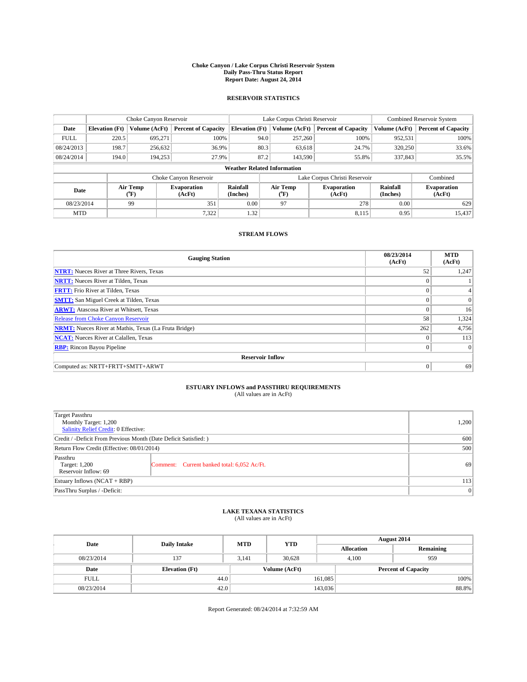#### **Choke Canyon / Lake Corpus Christi Reservoir System Daily Pass-Thru Status Report Report Date: August 24, 2014**

### **RESERVOIR STATISTICS**

|             |                                    | Choke Canyon Reservoir |                              |                       | Lake Corpus Christi Reservoir | <b>Combined Reservoir System</b> |               |                              |  |
|-------------|------------------------------------|------------------------|------------------------------|-----------------------|-------------------------------|----------------------------------|---------------|------------------------------|--|
| Date        | <b>Elevation</b> (Ft)              | Volume (AcFt)          | <b>Percent of Capacity</b>   | <b>Elevation (Ft)</b> | Volume (AcFt)                 | <b>Percent of Capacity</b>       | Volume (AcFt) | <b>Percent of Capacity</b>   |  |
| <b>FULL</b> | 220.5                              | 695,271                | 100%                         | 94.0                  | 257,260                       | 100%                             | 952,531       | 100%                         |  |
| 08/24/2013  | 198.7                              | 256,632                | 36.9%                        | 80.3                  | 63,618                        | 24.7%                            | 320,250       | 33.6%                        |  |
| 08/24/2014  | 194.0                              | 194.253                | 27.9%                        | 87.2                  | 143,590                       | 55.8%                            | 337,843       | 35.5%                        |  |
|             | <b>Weather Related Information</b> |                        |                              |                       |                               |                                  |               |                              |  |
|             |                                    |                        | Choke Canyon Reservoir       |                       |                               | Lake Corpus Christi Reservoir    |               | Combined                     |  |
| Date        |                                    | Air Temp<br>(°F)       | <b>Evaporation</b><br>(AcFt) | Rainfall<br>(Inches)  | Air Temp<br>("F)              | <b>Evaporation</b><br>(AcFt)     |               | <b>Evaporation</b><br>(AcFt) |  |
| 08/23/2014  |                                    | 99                     | 351                          | 0.00                  | 97                            | 278                              | 0.00          | 629                          |  |
| <b>MTD</b>  |                                    |                        | 7,322                        | 1.32                  |                               | 8,115                            | 0.95          | 15,437                       |  |

### **STREAM FLOWS**

| <b>Gauging Station</b>                                       | 08/23/2014<br>(AcFt) | <b>MTD</b><br>(AcFt) |  |  |  |  |
|--------------------------------------------------------------|----------------------|----------------------|--|--|--|--|
| <b>NTRT:</b> Nueces River at Three Rivers, Texas             | 52                   | 1,247                |  |  |  |  |
| <b>NRTT:</b> Nueces River at Tilden, Texas                   | $\theta$             |                      |  |  |  |  |
| <b>FRTT:</b> Frio River at Tilden, Texas                     |                      |                      |  |  |  |  |
| <b>SMTT:</b> San Miguel Creek at Tilden, Texas               | $\theta$             | $\overline{0}$       |  |  |  |  |
| <b>ARWT:</b> Atascosa River at Whitsett, Texas               | $\theta$             | 16                   |  |  |  |  |
| <b>Release from Choke Canyon Reservoir</b>                   | 58                   | 1,324                |  |  |  |  |
| <b>NRMT:</b> Nueces River at Mathis, Texas (La Fruta Bridge) | 262                  | 4,756                |  |  |  |  |
| <b>NCAT:</b> Nueces River at Calallen, Texas                 | $\theta$             | 113                  |  |  |  |  |
| <b>RBP:</b> Rincon Bayou Pipeline                            | $\Omega$             | $\Omega$             |  |  |  |  |
| <b>Reservoir Inflow</b>                                      |                      |                      |  |  |  |  |
| Computed as: NRTT+FRTT+SMTT+ARWT                             | $\Omega$             | 69                   |  |  |  |  |

# **ESTUARY INFLOWS and PASSTHRU REQUIREMENTS**<br>(All values are in AcFt)

| <b>Target Passthru</b><br>Monthly Target: 1,200<br>Salinity Relief Credit: 0 Effective: |                                             | 1,200 |
|-----------------------------------------------------------------------------------------|---------------------------------------------|-------|
| Credit / -Deficit From Previous Month (Date Deficit Satisfied: )                        | 600                                         |       |
| Return Flow Credit (Effective: 08/01/2014)                                              | 500                                         |       |
| Passthru<br>Target: 1,200<br>Reservoir Inflow: 69                                       | Comment: Current banked total: 6,052 Ac/Ft. | 69    |
| Estuary Inflows (NCAT + RBP)                                                            | 113                                         |       |
| PassThru Surplus / -Deficit:                                                            | 0                                           |       |

## **LAKE TEXANA STATISTICS** (All values are in AcFt)

| Date        | <b>Daily Intake</b>   | <b>MTD</b> | <b>YTD</b>    | August 2014       |                            |           |  |
|-------------|-----------------------|------------|---------------|-------------------|----------------------------|-----------|--|
|             |                       |            |               | <b>Allocation</b> |                            | Remaining |  |
| 08/23/2014  | 137                   | 3.141      | 30.628        |                   | 959<br>4.100               |           |  |
| Date        | <b>Elevation</b> (Ft) |            | Volume (AcFt) |                   | <b>Percent of Capacity</b> |           |  |
| <b>FULL</b> | 44.0                  |            |               | 161,085           |                            | 100%      |  |
| 08/23/2014  | 42.0                  |            |               | 143,036           |                            | 88.8%     |  |

Report Generated: 08/24/2014 at 7:32:59 AM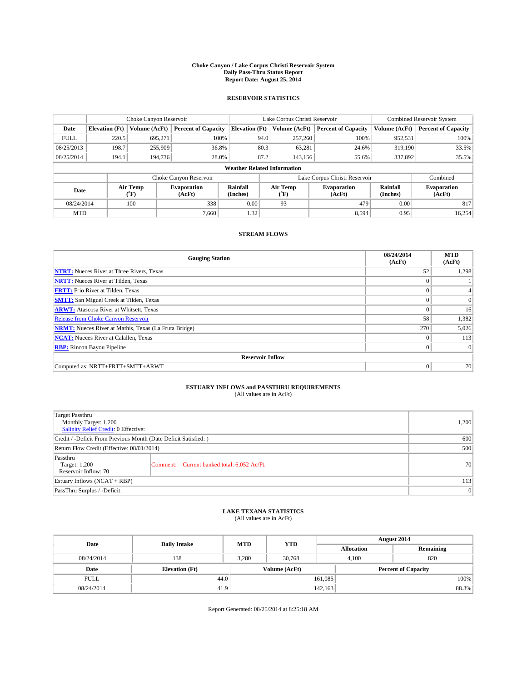#### **Choke Canyon / Lake Corpus Christi Reservoir System Daily Pass-Thru Status Report Report Date: August 25, 2014**

### **RESERVOIR STATISTICS**

|             |                                                                                                           | Choke Canyon Reservoir |                              |                       | Lake Corpus Christi Reservoir | <b>Combined Reservoir System</b> |               |                            |  |
|-------------|-----------------------------------------------------------------------------------------------------------|------------------------|------------------------------|-----------------------|-------------------------------|----------------------------------|---------------|----------------------------|--|
| Date        | <b>Elevation</b> (Ft)                                                                                     | Volume (AcFt)          | <b>Percent of Capacity</b>   | <b>Elevation (Ft)</b> | Volume (AcFt)                 | <b>Percent of Capacity</b>       | Volume (AcFt) | <b>Percent of Capacity</b> |  |
| <b>FULL</b> | 220.5                                                                                                     | 695.271                | 100%                         | 94.0                  | 257,260                       | 100%                             | 952,531       | 100%                       |  |
| 08/25/2013  | 198.7                                                                                                     | 255,909                | 36.8%                        | 80.3                  | 63,281                        | 24.6%                            | 319,190       | 33.5%                      |  |
| 08/25/2014  | 194.1                                                                                                     | 194,736                | 28.0%                        | 87.2                  | 143.156                       | 55.6%                            | 337,892       | 35.5%                      |  |
|             | <b>Weather Related Information</b>                                                                        |                        |                              |                       |                               |                                  |               |                            |  |
|             |                                                                                                           |                        | Choke Canyon Reservoir       |                       |                               | Lake Corpus Christi Reservoir    |               | Combined                   |  |
|             | Rainfall<br>Air Temp<br>Air Temp<br><b>Evaporation</b><br>Date<br>(Inches)<br>(°F)<br>(AcFt)<br>$(^{0}F)$ |                        | <b>Evaporation</b><br>(AcFt) | Rainfall<br>(Inches)  | <b>Evaporation</b><br>(AcFt)  |                                  |               |                            |  |
| 08/24/2014  |                                                                                                           | 100                    | 338                          | 0.00                  | 93                            | 479                              | 0.00          | 817                        |  |
| <b>MTD</b>  |                                                                                                           |                        | 7.660                        | 1.32                  |                               | 8,594                            | 0.95          | 16.254                     |  |

### **STREAM FLOWS**

| <b>Gauging Station</b>                                       | 08/24/2014<br>(AcFt) | <b>MTD</b><br>(AcFt) |  |  |  |  |  |
|--------------------------------------------------------------|----------------------|----------------------|--|--|--|--|--|
| <b>NTRT:</b> Nueces River at Three Rivers, Texas             | 52                   | 1,298                |  |  |  |  |  |
| <b>NRTT:</b> Nueces River at Tilden, Texas                   | $\theta$             |                      |  |  |  |  |  |
| <b>FRTT:</b> Frio River at Tilden, Texas                     |                      |                      |  |  |  |  |  |
| <b>SMTT:</b> San Miguel Creek at Tilden, Texas               | $\theta$             | $\overline{0}$       |  |  |  |  |  |
| <b>ARWT:</b> Atascosa River at Whitsett, Texas               | $\theta$             | 16                   |  |  |  |  |  |
| <b>Release from Choke Canyon Reservoir</b>                   | 58                   | 1,382                |  |  |  |  |  |
| <b>NRMT:</b> Nueces River at Mathis, Texas (La Fruta Bridge) | 270                  | 5,026                |  |  |  |  |  |
| <b>NCAT:</b> Nueces River at Calallen, Texas                 | $\theta$             | 113                  |  |  |  |  |  |
| <b>RBP:</b> Rincon Bayou Pipeline                            | $\Omega$             | $\Omega$             |  |  |  |  |  |
| <b>Reservoir Inflow</b>                                      |                      |                      |  |  |  |  |  |
| Computed as: NRTT+FRTT+SMTT+ARWT                             | $\Omega$             | 70                   |  |  |  |  |  |

# **ESTUARY INFLOWS and PASSTHRU REQUIREMENTS**<br>(All values are in AcFt)

| Target Passthru<br>Monthly Target: 1,200<br>Salinity Relief Credit: 0 Effective: |                                             | 1,200 |  |  |
|----------------------------------------------------------------------------------|---------------------------------------------|-------|--|--|
| Credit / -Deficit From Previous Month (Date Deficit Satisfied: )                 |                                             |       |  |  |
| Return Flow Credit (Effective: 08/01/2014)                                       | 500                                         |       |  |  |
| Passthru<br>Target: 1,200<br>Reservoir Inflow: 70                                | Comment: Current banked total: 6,052 Ac/Ft. | 70    |  |  |
| Estuary Inflows (NCAT + RBP)                                                     |                                             |       |  |  |
| PassThru Surplus / -Deficit:                                                     | 0                                           |       |  |  |

## **LAKE TEXANA STATISTICS** (All values are in AcFt)

| Date        | <b>Daily Intake</b>   | <b>MTD</b> | <b>YTD</b>    | August 2014       |                            |           |  |
|-------------|-----------------------|------------|---------------|-------------------|----------------------------|-----------|--|
|             |                       |            |               | <b>Allocation</b> |                            | Remaining |  |
| 08/24/2014  | 138                   | 3,280      | 30,768        |                   | 820<br>4,100               |           |  |
| Date        | <b>Elevation</b> (Ft) |            | Volume (AcFt) |                   | <b>Percent of Capacity</b> |           |  |
| <b>FULL</b> | 44.0                  |            |               | 161,085           |                            | 100%      |  |
| 08/24/2014  | 41.9                  |            |               | 142.163           |                            | 88.3%     |  |

Report Generated: 08/25/2014 at 8:25:18 AM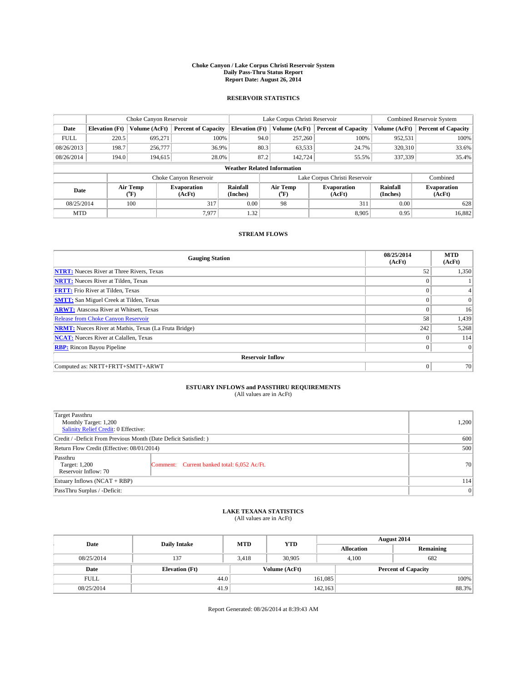#### **Choke Canyon / Lake Corpus Christi Reservoir System Daily Pass-Thru Status Report Report Date: August 26, 2014**

### **RESERVOIR STATISTICS**

|             |                                    | Choke Canyon Reservoir                                                                                                       |                            |                       | Lake Corpus Christi Reservoir | Combined Reservoir System     |               |                            |  |
|-------------|------------------------------------|------------------------------------------------------------------------------------------------------------------------------|----------------------------|-----------------------|-------------------------------|-------------------------------|---------------|----------------------------|--|
| Date        | <b>Elevation</b> (Ft)              | Volume (AcFt)                                                                                                                | <b>Percent of Capacity</b> | <b>Elevation (Ft)</b> | Volume (AcFt)                 | <b>Percent of Capacity</b>    | Volume (AcFt) | <b>Percent of Capacity</b> |  |
| <b>FULL</b> | 220.5                              | 695,271                                                                                                                      | 100%                       | 94.0                  | 257,260                       | 100%                          | 952,531       | 100%                       |  |
| 08/26/2013  | 198.7                              | 256,777                                                                                                                      | 36.9%                      | 80.3                  | 63,533                        | 24.7%                         | 320,310       | 33.6%                      |  |
| 08/26/2014  | 194.0                              | 194,615                                                                                                                      | 28.0%                      | 87.2                  | 142.724                       | 55.5%                         | 337,339       | 35.4%                      |  |
|             | <b>Weather Related Information</b> |                                                                                                                              |                            |                       |                               |                               |               |                            |  |
|             |                                    |                                                                                                                              | Choke Canyon Reservoir     |                       |                               | Lake Corpus Christi Reservoir |               | Combined                   |  |
| Date        |                                    | Air Temp<br>Rainfall<br>Air Temp<br><b>Evaporation</b><br><b>Evaporation</b><br>(°F)<br>(AcFt)<br>(Inches)<br>(AcFt)<br>(°F) |                            | Rainfall<br>(Inches)  | <b>Evaporation</b><br>(AcFt)  |                               |               |                            |  |
| 08/25/2014  |                                    | 100                                                                                                                          | 317                        | 0.00                  | 98                            | 311                           | 0.00          | 628                        |  |
| <b>MTD</b>  |                                    |                                                                                                                              | 7.977                      | 1.32                  |                               | 8.905                         | 0.95          | 16,882                     |  |

### **STREAM FLOWS**

| <b>Gauging Station</b>                                       | 08/25/2014<br>(AcFt) | <b>MTD</b><br>(AcFt) |  |  |  |  |
|--------------------------------------------------------------|----------------------|----------------------|--|--|--|--|
| <b>NTRT:</b> Nueces River at Three Rivers, Texas             | 52                   | 1,350                |  |  |  |  |
| <b>NRTT:</b> Nueces River at Tilden, Texas                   |                      |                      |  |  |  |  |
| <b>FRTT:</b> Frio River at Tilden, Texas                     |                      |                      |  |  |  |  |
| <b>SMTT:</b> San Miguel Creek at Tilden, Texas               |                      | $\Omega$             |  |  |  |  |
| <b>ARWT:</b> Atascosa River at Whitsett, Texas               | $\theta$             | 16                   |  |  |  |  |
| <b>Release from Choke Canyon Reservoir</b>                   | 58                   | 1,439                |  |  |  |  |
| <b>NRMT:</b> Nueces River at Mathis, Texas (La Fruta Bridge) | 242                  | 5,268                |  |  |  |  |
| <b>NCAT:</b> Nueces River at Calallen, Texas                 | $\theta$             | 114                  |  |  |  |  |
| <b>RBP:</b> Rincon Bayou Pipeline                            | $\Omega$             | $\Omega$             |  |  |  |  |
| <b>Reservoir Inflow</b>                                      |                      |                      |  |  |  |  |
| Computed as: NRTT+FRTT+SMTT+ARWT                             | $\Omega$             | 70                   |  |  |  |  |

# **ESTUARY INFLOWS and PASSTHRU REQUIREMENTS**<br>(All values are in AcFt)

| <b>Target Passthru</b><br>Monthly Target: 1,200<br>Salinity Relief Credit: 0 Effective: | 1,200                                       |    |
|-----------------------------------------------------------------------------------------|---------------------------------------------|----|
| Credit / -Deficit From Previous Month (Date Deficit Satisfied: )                        | 600                                         |    |
| Return Flow Credit (Effective: 08/01/2014)                                              | 500                                         |    |
| Passthru<br>Target: 1,200<br>Reservoir Inflow: 70                                       | Comment: Current banked total: 6,052 Ac/Ft. | 70 |
| Estuary Inflows (NCAT + RBP)                                                            | 114                                         |    |
| PassThru Surplus / -Deficit:                                                            | 0                                           |    |

## **LAKE TEXANA STATISTICS** (All values are in AcFt)

| Date        | <b>Daily Intake</b>   | <b>MTD</b> | <b>YTD</b>    | August 2014 |                            |           |  |
|-------------|-----------------------|------------|---------------|-------------|----------------------------|-----------|--|
|             |                       |            |               |             | <b>Allocation</b>          | Remaining |  |
| 08/25/2014  | 137                   | 3,418      | 30,905        |             | 682<br>4,100               |           |  |
| Date        | <b>Elevation</b> (Ft) |            | Volume (AcFt) |             | <b>Percent of Capacity</b> |           |  |
| <b>FULL</b> | 44.0                  |            |               | 161,085     |                            | 100%      |  |
| 08/25/2014  | 41.9                  |            |               | 142.163     |                            | 88.3%     |  |

Report Generated: 08/26/2014 at 8:39:43 AM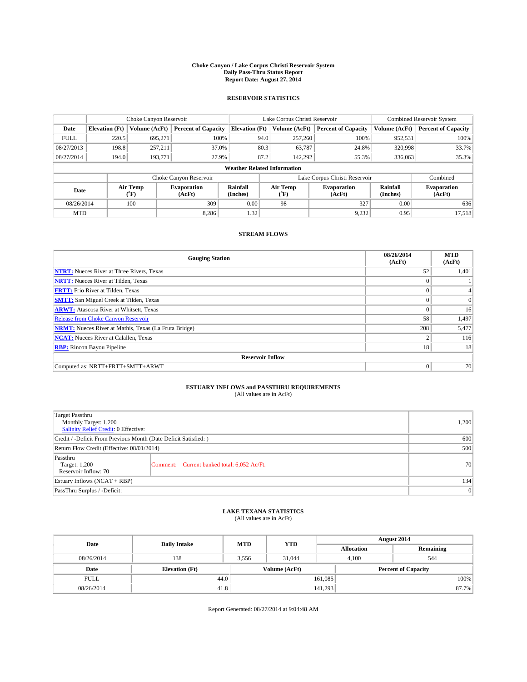#### **Choke Canyon / Lake Corpus Christi Reservoir System Daily Pass-Thru Status Report Report Date: August 27, 2014**

### **RESERVOIR STATISTICS**

|                                                                                  |                       | Choke Canyon Reservoir |                              |                                    | Lake Corpus Christi Reservoir | <b>Combined Reservoir System</b> |               |                     |
|----------------------------------------------------------------------------------|-----------------------|------------------------|------------------------------|------------------------------------|-------------------------------|----------------------------------|---------------|---------------------|
| Date                                                                             | <b>Elevation</b> (Ft) | Volume (AcFt)          | <b>Percent of Capacity</b>   | <b>Elevation (Ft)</b>              | Volume (AcFt)                 | <b>Percent of Capacity</b>       | Volume (AcFt) | Percent of Capacity |
| <b>FULL</b>                                                                      | 220.5                 | 695,271                | 100%                         | 94.0                               | 257,260                       | 100%                             | 952,531       | 100%                |
| 08/27/2013                                                                       | 198.8                 | 257,211                | 37.0%                        | 80.3                               | 63,787                        | 24.8%                            | 320,998       | 33.7%               |
| 08/27/2014                                                                       | 194.0                 | 193,771                | 27.9%                        | 87.2                               | 142,292                       | 55.3%                            | 336,063       | 35.3%               |
|                                                                                  |                       |                        |                              | <b>Weather Related Information</b> |                               |                                  |               |                     |
|                                                                                  |                       |                        | Choke Canyon Reservoir       |                                    |                               | Lake Corpus Christi Reservoir    |               | Combined            |
| Rainfall<br>Air Temp<br><b>Evaporation</b><br>Date<br>(Inches)<br>(AcFt)<br>(°F) |                       | Air Temp<br>("F)       | <b>Evaporation</b><br>(AcFt) | Rainfall<br>(Inches)               | <b>Evaporation</b><br>(AcFt)  |                                  |               |                     |
| 08/26/2014                                                                       |                       | 100                    | 309                          | 0.00                               | 98                            | 327                              | 0.00          | 636                 |
| <b>MTD</b>                                                                       |                       |                        | 8.286                        | 1.32                               |                               | 9,232                            | 0.95          | 17,518              |

### **STREAM FLOWS**

| <b>Gauging Station</b>                                       | 08/26/2014<br>(AcFt) | <b>MTD</b><br>(AcFt) |  |  |  |  |
|--------------------------------------------------------------|----------------------|----------------------|--|--|--|--|
| <b>NTRT:</b> Nueces River at Three Rivers, Texas             | 52                   | 1,401                |  |  |  |  |
| <b>NRTT:</b> Nueces River at Tilden, Texas                   |                      |                      |  |  |  |  |
| <b>FRTT:</b> Frio River at Tilden, Texas                     |                      |                      |  |  |  |  |
| <b>SMTT:</b> San Miguel Creek at Tilden, Texas               | $\Omega$             | $\Omega$             |  |  |  |  |
| <b>ARWT:</b> Atascosa River at Whitsett, Texas               | $\theta$             | 16                   |  |  |  |  |
| <b>Release from Choke Canyon Reservoir</b>                   | 58                   | 1,497                |  |  |  |  |
| <b>NRMT:</b> Nueces River at Mathis, Texas (La Fruta Bridge) | 208                  | 5,477                |  |  |  |  |
| <b>NCAT:</b> Nueces River at Calallen, Texas                 | $\overline{2}$       | 116                  |  |  |  |  |
| <b>RBP:</b> Rincon Bayou Pipeline                            | 18                   | 18                   |  |  |  |  |
| <b>Reservoir Inflow</b>                                      |                      |                      |  |  |  |  |
| Computed as: NRTT+FRTT+SMTT+ARWT                             | $\Omega$             | 70                   |  |  |  |  |

# **ESTUARY INFLOWS and PASSTHRU REQUIREMENTS**<br>(All values are in AcFt)

| Target Passthru<br>Monthly Target: 1,200<br>Salinity Relief Credit: 0 Effective: |                                             | 1,200 |  |  |
|----------------------------------------------------------------------------------|---------------------------------------------|-------|--|--|
| Credit / -Deficit From Previous Month (Date Deficit Satisfied: )                 |                                             |       |  |  |
| Return Flow Credit (Effective: 08/01/2014)                                       |                                             |       |  |  |
| Passthru<br>Target: 1,200<br>Reservoir Inflow: 70                                | Comment: Current banked total: 6,052 Ac/Ft. | 70    |  |  |
| Estuary Inflows (NCAT + RBP)                                                     |                                             |       |  |  |
| PassThru Surplus / -Deficit:                                                     |                                             |       |  |  |

# **LAKE TEXANA STATISTICS** (All values are in AcFt)

| Date        | <b>Daily Intake</b>   | <b>MTD</b> | <b>YTD</b>    | August 2014       |                            |           |  |
|-------------|-----------------------|------------|---------------|-------------------|----------------------------|-----------|--|
|             |                       |            |               | <b>Allocation</b> |                            | Remaining |  |
| 08/26/2014  | 138                   | 3,556      | 31,044        | 4,100             | 544                        |           |  |
| Date        | <b>Elevation</b> (Ft) |            | Volume (AcFt) |                   | <b>Percent of Capacity</b> |           |  |
| <b>FULL</b> | 44.0                  |            |               | 161,085           |                            | 100%      |  |
| 08/26/2014  | 41.8                  |            |               | 141,293           |                            | 87.7%     |  |

Report Generated: 08/27/2014 at 9:04:48 AM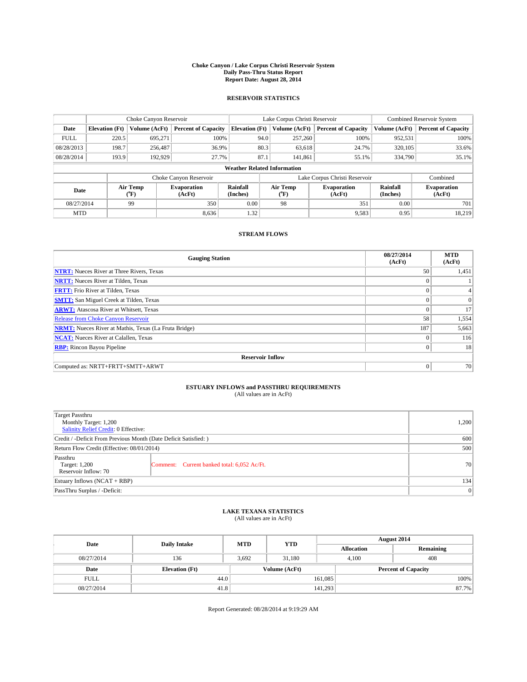#### **Choke Canyon / Lake Corpus Christi Reservoir System Daily Pass-Thru Status Report Report Date: August 28, 2014**

### **RESERVOIR STATISTICS**

|             | Choke Canyon Reservoir             |                  |                              |                       | Lake Corpus Christi Reservoir | Combined Reservoir System     |                      |                              |  |
|-------------|------------------------------------|------------------|------------------------------|-----------------------|-------------------------------|-------------------------------|----------------------|------------------------------|--|
| Date        | <b>Elevation</b> (Ft)              | Volume (AcFt)    | <b>Percent of Capacity</b>   | <b>Elevation</b> (Ft) | Volume (AcFt)                 | <b>Percent of Capacity</b>    | Volume (AcFt)        | <b>Percent of Capacity</b>   |  |
| <b>FULL</b> | 220.5                              | 695,271          | 100%                         | 94.0                  | 257,260                       | 100%                          | 952,531              | 100%                         |  |
| 08/28/2013  | 198.7                              | 256,487          | 36.9%                        | 80.3                  | 63,618                        | 24.7%                         | 320,105              | 33.6%                        |  |
| 08/28/2014  | 193.9                              | 192,929          | 27.7%                        | 87.1                  | 141.861                       | 55.1%                         | 334,790              | 35.1%                        |  |
|             | <b>Weather Related Information</b> |                  |                              |                       |                               |                               |                      |                              |  |
|             |                                    |                  | Choke Canyon Reservoir       |                       |                               | Lake Corpus Christi Reservoir |                      | Combined                     |  |
| Date        |                                    | Air Temp<br>(°F) | <b>Evaporation</b><br>(AcFt) | Rainfall<br>(Inches)  | Air Temp<br>(°F)              | <b>Evaporation</b><br>(AcFt)  | Rainfall<br>(Inches) | <b>Evaporation</b><br>(AcFt) |  |
| 08/27/2014  |                                    | 99               | 350                          | 0.00                  | 98                            | 351                           | 0.00                 | 701                          |  |
| <b>MTD</b>  |                                    |                  | 8.636                        | 1.32                  |                               | 9,583                         | 0.95                 | 18,219                       |  |

### **STREAM FLOWS**

| <b>Gauging Station</b>                                       | 08/27/2014<br>(AcFt) | <b>MTD</b><br>(AcFt) |  |  |  |  |
|--------------------------------------------------------------|----------------------|----------------------|--|--|--|--|
| <b>NTRT:</b> Nueces River at Three Rivers, Texas             | 50                   | 1,451                |  |  |  |  |
| <b>NRTT:</b> Nueces River at Tilden, Texas                   | $\theta$             |                      |  |  |  |  |
| <b>FRTT:</b> Frio River at Tilden, Texas                     |                      |                      |  |  |  |  |
| <b>SMTT:</b> San Miguel Creek at Tilden, Texas               | $\theta$             | $\overline{0}$       |  |  |  |  |
| <b>ARWT:</b> Atascosa River at Whitsett, Texas               | $\theta$             | 17                   |  |  |  |  |
| <b>Release from Choke Canyon Reservoir</b>                   | 58                   | 1,554                |  |  |  |  |
| <b>NRMT:</b> Nueces River at Mathis, Texas (La Fruta Bridge) | 187                  | 5,663                |  |  |  |  |
| <b>NCAT:</b> Nueces River at Calallen, Texas                 | $\theta$             | 116                  |  |  |  |  |
| <b>RBP:</b> Rincon Bayou Pipeline                            | $\Omega$             | 18                   |  |  |  |  |
| <b>Reservoir Inflow</b>                                      |                      |                      |  |  |  |  |
| Computed as: NRTT+FRTT+SMTT+ARWT                             | $\Omega$             | 70                   |  |  |  |  |

# **ESTUARY INFLOWS and PASSTHRU REQUIREMENTS**<br>(All values are in AcFt)

| Target Passthru<br>Monthly Target: 1,200<br>Salinity Relief Credit: 0 Effective: |                                             | 1,200 |
|----------------------------------------------------------------------------------|---------------------------------------------|-------|
| Credit / -Deficit From Previous Month (Date Deficit Satisfied: )                 | 600                                         |       |
| Return Flow Credit (Effective: 08/01/2014)                                       |                                             | 500   |
| Passthru<br>Target: 1,200<br>Reservoir Inflow: 70                                | Comment: Current banked total: 6,052 Ac/Ft. | 70    |
| Estuary Inflows (NCAT + RBP)                                                     |                                             | 134   |
| PassThru Surplus / -Deficit:                                                     |                                             | 0     |

# **LAKE TEXANA STATISTICS** (All values are in AcFt)

| Date        | <b>Daily Intake</b>   | <b>MTD</b>    | <b>YTD</b> | August 2014       |                            |           |
|-------------|-----------------------|---------------|------------|-------------------|----------------------------|-----------|
|             |                       |               |            | <b>Allocation</b> |                            | Remaining |
| 08/27/2014  | 136                   | 3,692         | 31,180     |                   | 408<br>4,100               |           |
| Date        | <b>Elevation</b> (Ft) | Volume (AcFt) |            |                   | <b>Percent of Capacity</b> |           |
| <b>FULL</b> | 44.0                  |               |            | 161,085           |                            | 100%      |
| 08/27/2014  | 41.8                  |               |            | 141,293           |                            | 87.7%     |

Report Generated: 08/28/2014 at 9:19:29 AM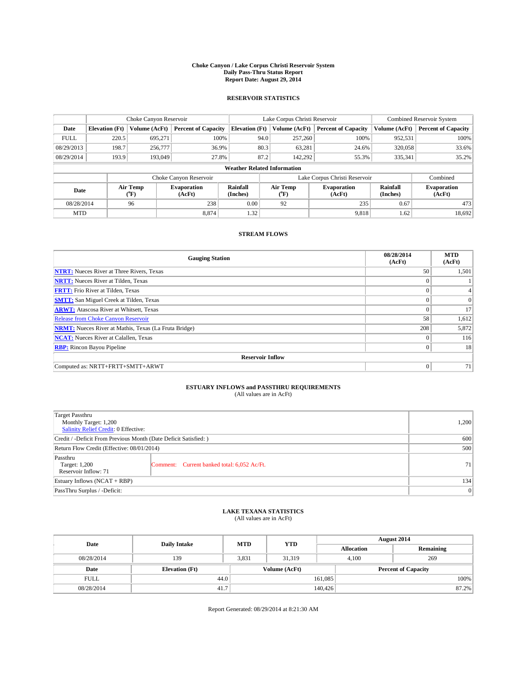#### **Choke Canyon / Lake Corpus Christi Reservoir System Daily Pass-Thru Status Report Report Date: August 29, 2014**

### **RESERVOIR STATISTICS**

|             | Choke Canyon Reservoir             |                  |                              |                       | Lake Corpus Christi Reservoir | <b>Combined Reservoir System</b> |                      |                              |  |
|-------------|------------------------------------|------------------|------------------------------|-----------------------|-------------------------------|----------------------------------|----------------------|------------------------------|--|
| Date        | <b>Elevation</b> (Ft)              | Volume (AcFt)    | <b>Percent of Capacity</b>   | <b>Elevation</b> (Ft) | Volume (AcFt)                 | <b>Percent of Capacity</b>       | Volume (AcFt)        | <b>Percent of Capacity</b>   |  |
| <b>FULL</b> | 220.5                              | 695,271          | 100%                         | 94.0                  | 257,260                       | 100%                             | 952,531              | 100%                         |  |
| 08/29/2013  | 198.7                              | 256,777          | 36.9%                        | 80.3                  | 63,281                        | 24.6%                            | 320,058              | 33.6%                        |  |
| 08/29/2014  | 193.9                              | 193,049          | 27.8%                        | 87.2                  | 142,292                       | 55.3%                            | 335,341              | 35.2%                        |  |
|             | <b>Weather Related Information</b> |                  |                              |                       |                               |                                  |                      |                              |  |
|             |                                    |                  | Choke Canyon Reservoir       |                       |                               | Lake Corpus Christi Reservoir    |                      | Combined                     |  |
| Date        |                                    | Air Temp<br>(°F) | <b>Evaporation</b><br>(AcFt) | Rainfall<br>(Inches)  | Air Temp<br>(°F)              | <b>Evaporation</b><br>(AcFt)     | Rainfall<br>(Inches) | <b>Evaporation</b><br>(AcFt) |  |
| 08/28/2014  |                                    | 96               | 238                          | 0.00                  | 92                            | 235                              | 0.67                 | 473                          |  |
| <b>MTD</b>  |                                    |                  | 8.874                        | 1.32                  |                               | 9,818                            | 1.62                 | 18,692                       |  |

### **STREAM FLOWS**

| <b>Gauging Station</b>                                       | 08/28/2014<br>(AcFt) | <b>MTD</b><br>(AcFt) |  |  |  |  |
|--------------------------------------------------------------|----------------------|----------------------|--|--|--|--|
| <b>NTRT:</b> Nueces River at Three Rivers, Texas             | 50                   | 1,501                |  |  |  |  |
| <b>NRTT:</b> Nueces River at Tilden, Texas                   | $\theta$             |                      |  |  |  |  |
| <b>FRTT:</b> Frio River at Tilden, Texas                     |                      |                      |  |  |  |  |
| <b>SMTT:</b> San Miguel Creek at Tilden, Texas               | $\theta$             | $\Omega$             |  |  |  |  |
| <b>ARWT:</b> Atascosa River at Whitsett, Texas               | $\theta$             | 17                   |  |  |  |  |
| <b>Release from Choke Canyon Reservoir</b>                   | 58                   | 1,612                |  |  |  |  |
| <b>NRMT:</b> Nueces River at Mathis, Texas (La Fruta Bridge) | 208                  | 5,872                |  |  |  |  |
| <b>NCAT:</b> Nueces River at Calallen, Texas                 | $\theta$             | 116                  |  |  |  |  |
| <b>RBP:</b> Rincon Bayou Pipeline                            | $\Omega$             | 18                   |  |  |  |  |
| <b>Reservoir Inflow</b>                                      |                      |                      |  |  |  |  |
| Computed as: NRTT+FRTT+SMTT+ARWT                             | $\Omega$             | 71                   |  |  |  |  |

# **ESTUARY INFLOWS and PASSTHRU REQUIREMENTS**<br>(All values are in AcFt)

| <b>Target Passthru</b><br>Monthly Target: 1,200<br>Salinity Relief Credit: 0 Effective: |                                             | 1,200 |
|-----------------------------------------------------------------------------------------|---------------------------------------------|-------|
| Credit / -Deficit From Previous Month (Date Deficit Satisfied: )                        | 600                                         |       |
| Return Flow Credit (Effective: 08/01/2014)                                              |                                             | 500   |
| Passthru<br>Target: 1,200<br>Reservoir Inflow: 71                                       | Comment: Current banked total: 6,052 Ac/Ft. | 71    |
| Estuary Inflows (NCAT + RBP)                                                            |                                             | 134   |
| PassThru Surplus / -Deficit:                                                            |                                             | 0     |

# **LAKE TEXANA STATISTICS** (All values are in AcFt)

| Date        | <b>Daily Intake</b>   | <b>MTD</b> | <b>YTD</b>    | August 2014       |                            |  |
|-------------|-----------------------|------------|---------------|-------------------|----------------------------|--|
|             |                       |            |               | <b>Allocation</b> | Remaining                  |  |
| 08/28/2014  | 139                   | 3,831      | 31,319        | 4,100             | 269                        |  |
| Date        | <b>Elevation</b> (Ft) |            | Volume (AcFt) |                   | <b>Percent of Capacity</b> |  |
| <b>FULL</b> | 44.0                  |            |               | 161,085           | 100%                       |  |
| 08/28/2014  | 41.7                  |            |               | 140,426           | 87.2%                      |  |

Report Generated: 08/29/2014 at 8:21:30 AM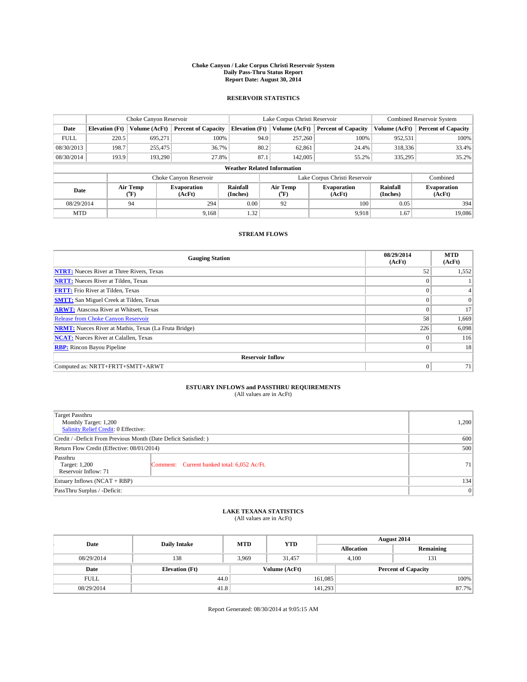#### **Choke Canyon / Lake Corpus Christi Reservoir System Daily Pass-Thru Status Report Report Date: August 30, 2014**

### **RESERVOIR STATISTICS**

|             | Choke Canyon Reservoir |                  |                              |                                    | Lake Corpus Christi Reservoir | <b>Combined Reservoir System</b> |                      |                              |
|-------------|------------------------|------------------|------------------------------|------------------------------------|-------------------------------|----------------------------------|----------------------|------------------------------|
| Date        | <b>Elevation</b> (Ft)  | Volume (AcFt)    | <b>Percent of Capacity</b>   | <b>Elevation (Ft)</b>              | Volume (AcFt)                 | <b>Percent of Capacity</b>       | Volume (AcFt)        | Percent of Capacity          |
| <b>FULL</b> | 220.5                  | 695,271          | 100%                         | 94.0                               | 257,260                       | 100%                             | 952,531              | 100%                         |
| 08/30/2013  | 198.7                  | 255,475          | 36.7%                        | 80.2                               | 62,861                        | 24.4%                            | 318,336              | 33.4%                        |
| 08/30/2014  | 193.9                  | 193,290          | 27.8%                        | 87.1                               | 142,005                       | 55.2%                            | 335,295              | $35.2\%$                     |
|             |                        |                  |                              | <b>Weather Related Information</b> |                               |                                  |                      |                              |
|             |                        |                  | Choke Canyon Reservoir       |                                    |                               | Lake Corpus Christi Reservoir    |                      | Combined                     |
| Date        |                        | Air Temp<br>(°F) | <b>Evaporation</b><br>(AcFt) | Rainfall<br>(Inches)               | Air Temp<br>("F)              | <b>Evaporation</b><br>(AcFt)     | Rainfall<br>(Inches) | <b>Evaporation</b><br>(AcFt) |
| 08/29/2014  |                        | 94               | 294                          | 0.00                               | 92                            | 100                              | 0.05                 | 394                          |
| <b>MTD</b>  |                        |                  | 9.168                        | 1.32                               |                               | 9.918                            | 1.67                 | 19,086                       |

### **STREAM FLOWS**

| <b>Gauging Station</b>                                       | 08/29/2014<br>(AcFt) | <b>MTD</b><br>(AcFt) |  |  |  |  |
|--------------------------------------------------------------|----------------------|----------------------|--|--|--|--|
| <b>NTRT:</b> Nueces River at Three Rivers, Texas             | 52                   | 1,552                |  |  |  |  |
| <b>NRTT:</b> Nueces River at Tilden, Texas                   | $\theta$             |                      |  |  |  |  |
| <b>FRTT:</b> Frio River at Tilden, Texas                     | $\theta$             | $\overline{4}$       |  |  |  |  |
| <b>SMTT:</b> San Miguel Creek at Tilden, Texas               | $\theta$             | $\Omega$             |  |  |  |  |
| <b>ARWT:</b> Atascosa River at Whitsett, Texas               | $\Omega$             | 17                   |  |  |  |  |
| Release from Choke Canyon Reservoir                          | 58                   | 1,669                |  |  |  |  |
| <b>NRMT:</b> Nueces River at Mathis, Texas (La Fruta Bridge) | 226                  | 6,098                |  |  |  |  |
| <b>NCAT:</b> Nueces River at Calallen, Texas                 | $\Omega$             | 116                  |  |  |  |  |
| <b>RBP:</b> Rincon Bayou Pipeline                            | $\mathbf{0}$         | 18                   |  |  |  |  |
| <b>Reservoir Inflow</b>                                      |                      |                      |  |  |  |  |
| Computed as: NRTT+FRTT+SMTT+ARWT                             | $\Omega$             | 71                   |  |  |  |  |

# **ESTUARY INFLOWS and PASSTHRU REQUIREMENTS**<br>(All values are in AcFt)

| Target Passthru<br>Monthly Target: 1,200<br>Salinity Relief Credit: 0 Effective: |                                             | 1,200 |
|----------------------------------------------------------------------------------|---------------------------------------------|-------|
| Credit / -Deficit From Previous Month (Date Deficit Satisfied: )                 | 600                                         |       |
| Return Flow Credit (Effective: 08/01/2014)                                       |                                             | 500   |
| Passthru<br>Target: 1,200<br>Reservoir Inflow: 71                                | Comment: Current banked total: 6,052 Ac/Ft. | 71    |
| Estuary Inflows (NCAT + RBP)                                                     |                                             | 134   |
| PassThru Surplus / -Deficit:                                                     |                                             | 0     |

## **LAKE TEXANA STATISTICS** (All values are in AcFt)

| Date        | <b>Daily Intake</b>   | <b>MTD</b> | <b>YTD</b>    | August 2014       |                            |  |
|-------------|-----------------------|------------|---------------|-------------------|----------------------------|--|
|             |                       |            |               | <b>Allocation</b> | Remaining                  |  |
| 08/29/2014  | 138                   | 3.969      | 31.457        | 4.100             | 131                        |  |
| Date        | <b>Elevation</b> (Ft) |            | Volume (AcFt) |                   | <b>Percent of Capacity</b> |  |
| <b>FULL</b> | 44.0                  |            |               | 161,085           | 100%                       |  |
| 08/29/2014  | 41.8                  |            |               | 141,293           | 87.7%                      |  |

Report Generated: 08/30/2014 at 9:05:15 AM